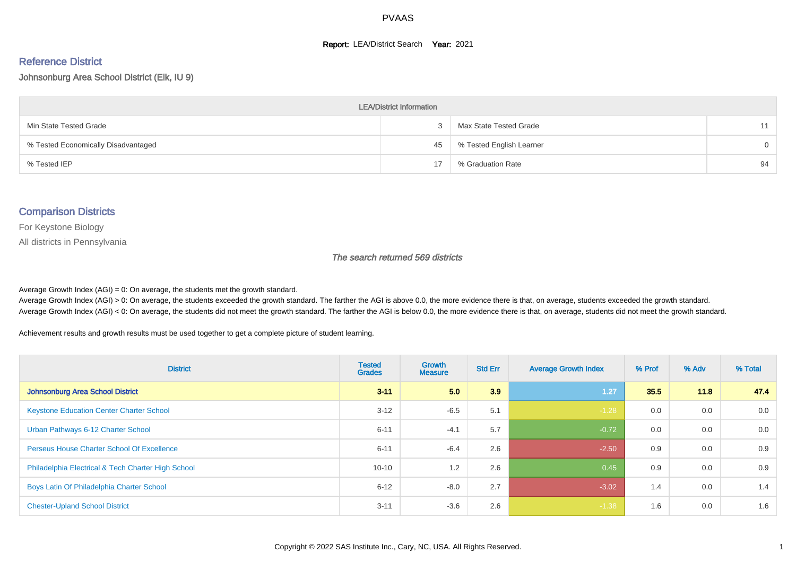#### **Report: LEA/District Search Year: 2021**

# Reference District

Johnsonburg Area School District (Elk, IU 9)

| <b>LEA/District Information</b>     |    |                          |          |  |  |  |  |  |  |  |
|-------------------------------------|----|--------------------------|----------|--|--|--|--|--|--|--|
| Min State Tested Grade              |    | Max State Tested Grade   | 11       |  |  |  |  |  |  |  |
| % Tested Economically Disadvantaged | 45 | % Tested English Learner | $\Omega$ |  |  |  |  |  |  |  |
| % Tested IEP                        | 17 | % Graduation Rate        | 94       |  |  |  |  |  |  |  |

#### Comparison Districts

For Keystone Biology

All districts in Pennsylvania

The search returned 569 districts

Average Growth Index  $(AGI) = 0$ : On average, the students met the growth standard.

Average Growth Index (AGI) > 0: On average, the students exceeded the growth standard. The farther the AGI is above 0.0, the more evidence there is that, on average, students exceeded the growth standard. Average Growth Index (AGI) < 0: On average, the students did not meet the growth standard. The farther the AGI is below 0.0, the more evidence there is that, on average, students did not meet the growth standard.

Achievement results and growth results must be used together to get a complete picture of student learning.

| <b>District</b>                                    | <b>Tested</b><br><b>Grades</b> | <b>Growth</b><br><b>Measure</b> | <b>Std Err</b> | <b>Average Growth Index</b> | % Prof | % Adv | % Total |
|----------------------------------------------------|--------------------------------|---------------------------------|----------------|-----------------------------|--------|-------|---------|
| Johnsonburg Area School District                   | $3 - 11$                       | 5.0                             | 3.9            | 1.27                        | 35.5   | 11.8  | 47.4    |
| <b>Keystone Education Center Charter School</b>    | $3 - 12$                       | $-6.5$                          | 5.1            | $-1.28$                     | 0.0    | 0.0   | 0.0     |
| Urban Pathways 6-12 Charter School                 | $6 - 11$                       | $-4.1$                          | 5.7            | $-0.72$                     | 0.0    | 0.0   | 0.0     |
| <b>Perseus House Charter School Of Excellence</b>  | $6 - 11$                       | $-6.4$                          | 2.6            | $-2.50$                     | 0.9    | 0.0   | 0.9     |
| Philadelphia Electrical & Tech Charter High School | $10 - 10$                      | 1.2                             | 2.6            | 0.45                        | 0.9    | 0.0   | 0.9     |
| Boys Latin Of Philadelphia Charter School          | $6 - 12$                       | $-8.0$                          | 2.7            | $-3.02$                     | 1.4    | 0.0   | 1.4     |
| <b>Chester-Upland School District</b>              | $3 - 11$                       | $-3.6$                          | 2.6            | $-1.38$                     | 1.6    | 0.0   | 1.6     |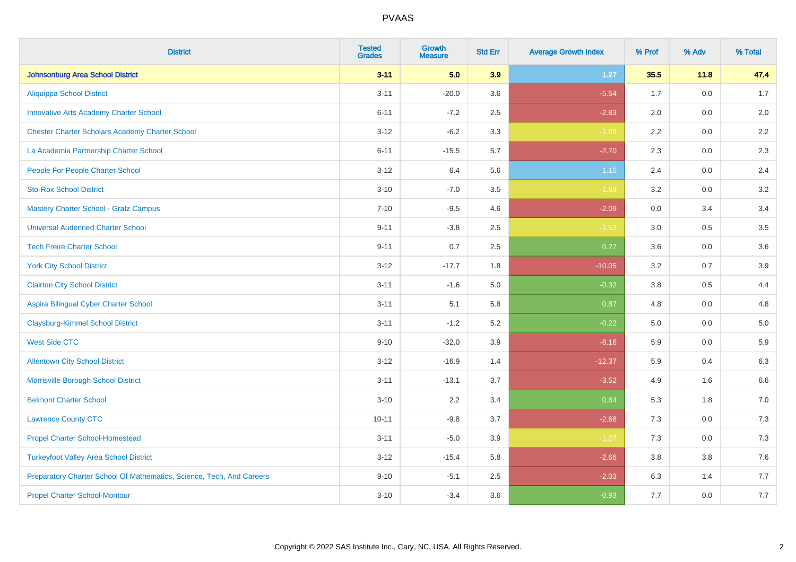| <b>District</b>                                                       | <b>Tested</b><br><b>Grades</b> | <b>Growth</b><br><b>Measure</b> | <b>Std Err</b> | <b>Average Growth Index</b> | % Prof | % Adv | % Total |
|-----------------------------------------------------------------------|--------------------------------|---------------------------------|----------------|-----------------------------|--------|-------|---------|
| <b>Johnsonburg Area School District</b>                               | $3 - 11$                       | 5.0                             | 3.9            | $1.27$                      | 35.5   | 11.8  | 47.4    |
| <b>Aliquippa School District</b>                                      | $3 - 11$                       | $-20.0$                         | 3.6            | $-5.54$                     | 1.7    | 0.0   | 1.7     |
| <b>Innovative Arts Academy Charter School</b>                         | $6 - 11$                       | $-7.2$                          | 2.5            | $-2.83$                     | 2.0    | 0.0   | 2.0     |
| <b>Chester Charter Scholars Academy Charter School</b>                | $3 - 12$                       | $-6.2$                          | 3.3            | $-1.88$                     | 2.2    | 0.0   | 2.2     |
| La Academia Partnership Charter School                                | $6 - 11$                       | $-15.5$                         | 5.7            | $-2.70$                     | 2.3    | 0.0   | $2.3\,$ |
| People For People Charter School                                      | $3 - 12$                       | 6.4                             | 5.6            | 1.15                        | 2.4    | 0.0   | 2.4     |
| <b>Sto-Rox School District</b>                                        | $3 - 10$                       | $-7.0$                          | $3.5\,$        | $-1.99$                     | 3.2    | 0.0   | $3.2\,$ |
| <b>Mastery Charter School - Gratz Campus</b>                          | $7 - 10$                       | $-9.5$                          | 4.6            | $-2.09$                     | 0.0    | 3.4   | 3.4     |
| <b>Universal Audenried Charter School</b>                             | $9 - 11$                       | $-3.8$                          | 2.5            | $-1.53$                     | 3.0    | 0.5   | 3.5     |
| <b>Tech Freire Charter School</b>                                     | $9 - 11$                       | 0.7                             | 2.5            | 0.27                        | 3.6    | 0.0   | 3.6     |
| <b>York City School District</b>                                      | $3 - 12$                       | $-17.7$                         | 1.8            | $-10.05$                    | 3.2    | 0.7   | 3.9     |
| <b>Clairton City School District</b>                                  | $3 - 11$                       | $-1.6$                          | 5.0            | $-0.32$                     | 3.8    | 0.5   | 4.4     |
| Aspira Bilingual Cyber Charter School                                 | $3 - 11$                       | 5.1                             | 5.8            | 0.87                        | 4.8    | 0.0   | 4.8     |
| <b>Claysburg-Kimmel School District</b>                               | $3 - 11$                       | $-1.2$                          | 5.2            | $-0.22$                     | 5.0    | 0.0   | $5.0\,$ |
| <b>West Side CTC</b>                                                  | $9 - 10$                       | $-32.0$                         | 3.9            | $-8.16$                     | 5.9    | 0.0   | 5.9     |
| <b>Allentown City School District</b>                                 | $3 - 12$                       | $-16.9$                         | 1.4            | $-12.37$                    | 5.9    | 0.4   | 6.3     |
| Morrisville Borough School District                                   | $3 - 11$                       | $-13.1$                         | 3.7            | $-3.52$                     | 4.9    | 1.6   | 6.6     |
| <b>Belmont Charter School</b>                                         | $3 - 10$                       | 2.2                             | 3.4            | 0.64                        | 5.3    | 1.8   | $7.0\,$ |
| <b>Lawrence County CTC</b>                                            | $10 - 11$                      | $-9.8$                          | 3.7            | $-2.68$                     | 7.3    | 0.0   | 7.3     |
| <b>Propel Charter School-Homestead</b>                                | $3 - 11$                       | $-5.0$                          | 3.9            | $-1.27$                     | 7.3    | 0.0   | $7.3$   |
| <b>Turkeyfoot Valley Area School District</b>                         | $3 - 12$                       | $-15.4$                         | 5.8            | $-2.66$                     | 3.8    | 3.8   | $7.6\,$ |
| Preparatory Charter School Of Mathematics, Science, Tech, And Careers | $9 - 10$                       | $-5.1$                          | 2.5            | $-2.03$                     | 6.3    | 1.4   | 7.7     |
| <b>Propel Charter School-Montour</b>                                  | $3 - 10$                       | $-3.4$                          | 3.6            | $-0.93$                     | 7.7    | 0.0   | $7.7$   |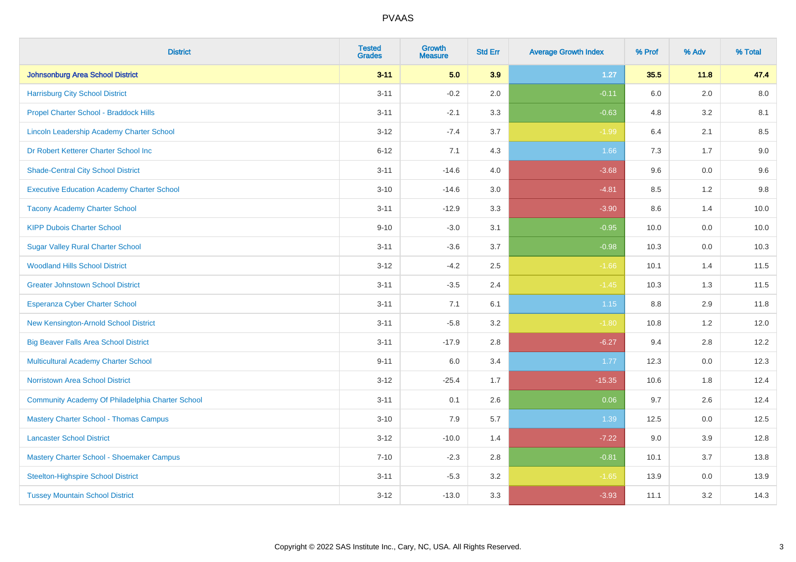| <b>District</b>                                   | <b>Tested</b><br><b>Grades</b> | <b>Growth</b><br><b>Measure</b> | <b>Std Err</b> | <b>Average Growth Index</b> | % Prof  | % Adv | % Total |
|---------------------------------------------------|--------------------------------|---------------------------------|----------------|-----------------------------|---------|-------|---------|
| Johnsonburg Area School District                  | $3 - 11$                       | 5.0                             | 3.9            | 1.27                        | 35.5    | 11.8  | 47.4    |
| <b>Harrisburg City School District</b>            | $3 - 11$                       | $-0.2$                          | 2.0            | $-0.11$                     | 6.0     | 2.0   | 8.0     |
| Propel Charter School - Braddock Hills            | $3 - 11$                       | $-2.1$                          | 3.3            | $-0.63$                     | 4.8     | 3.2   | 8.1     |
| Lincoln Leadership Academy Charter School         | $3 - 12$                       | $-7.4$                          | 3.7            | $-1.99$                     | 6.4     | 2.1   | 8.5     |
| Dr Robert Ketterer Charter School Inc             | $6 - 12$                       | 7.1                             | 4.3            | 1.66                        | 7.3     | 1.7   | $9.0\,$ |
| <b>Shade-Central City School District</b>         | $3 - 11$                       | $-14.6$                         | 4.0            | $-3.68$                     | 9.6     | 0.0   | 9.6     |
| <b>Executive Education Academy Charter School</b> | $3 - 10$                       | $-14.6$                         | 3.0            | $-4.81$                     | 8.5     | 1.2   | 9.8     |
| <b>Tacony Academy Charter School</b>              | $3 - 11$                       | $-12.9$                         | 3.3            | $-3.90$                     | 8.6     | 1.4   | 10.0    |
| <b>KIPP Dubois Charter School</b>                 | $9 - 10$                       | $-3.0$                          | 3.1            | $-0.95$                     | 10.0    | 0.0   | 10.0    |
| <b>Sugar Valley Rural Charter School</b>          | $3 - 11$                       | $-3.6$                          | 3.7            | $-0.98$                     | 10.3    | 0.0   | 10.3    |
| <b>Woodland Hills School District</b>             | $3 - 12$                       | $-4.2$                          | 2.5            | $-1.66$                     | 10.1    | 1.4   | 11.5    |
| <b>Greater Johnstown School District</b>          | $3 - 11$                       | $-3.5$                          | 2.4            | $-1.45$                     | 10.3    | 1.3   | 11.5    |
| Esperanza Cyber Charter School                    | $3 - 11$                       | 7.1                             | 6.1            | 1.15                        | $8.8\,$ | 2.9   | 11.8    |
| New Kensington-Arnold School District             | $3 - 11$                       | $-5.8$                          | 3.2            | $-1.80$                     | 10.8    | 1.2   | 12.0    |
| <b>Big Beaver Falls Area School District</b>      | $3 - 11$                       | $-17.9$                         | 2.8            | $-6.27$                     | 9.4     | 2.8   | 12.2    |
| <b>Multicultural Academy Charter School</b>       | $9 - 11$                       | 6.0                             | 3.4            | 1.77                        | 12.3    | 0.0   | 12.3    |
| <b>Norristown Area School District</b>            | $3 - 12$                       | $-25.4$                         | 1.7            | $-15.35$                    | 10.6    | 1.8   | 12.4    |
| Community Academy Of Philadelphia Charter School  | $3 - 11$                       | 0.1                             | 2.6            | 0.06                        | 9.7     | 2.6   | 12.4    |
| <b>Mastery Charter School - Thomas Campus</b>     | $3 - 10$                       | 7.9                             | 5.7            | 1.39                        | 12.5    | 0.0   | 12.5    |
| <b>Lancaster School District</b>                  | $3 - 12$                       | $-10.0$                         | 1.4            | $-7.22$                     | 9.0     | 3.9   | 12.8    |
| Mastery Charter School - Shoemaker Campus         | $7 - 10$                       | $-2.3$                          | 2.8            | $-0.81$                     | 10.1    | 3.7   | 13.8    |
| <b>Steelton-Highspire School District</b>         | $3 - 11$                       | $-5.3$                          | 3.2            | $-1.65$                     | 13.9    | 0.0   | 13.9    |
| <b>Tussey Mountain School District</b>            | $3 - 12$                       | $-13.0$                         | 3.3            | $-3.93$                     | 11.1    | 3.2   | 14.3    |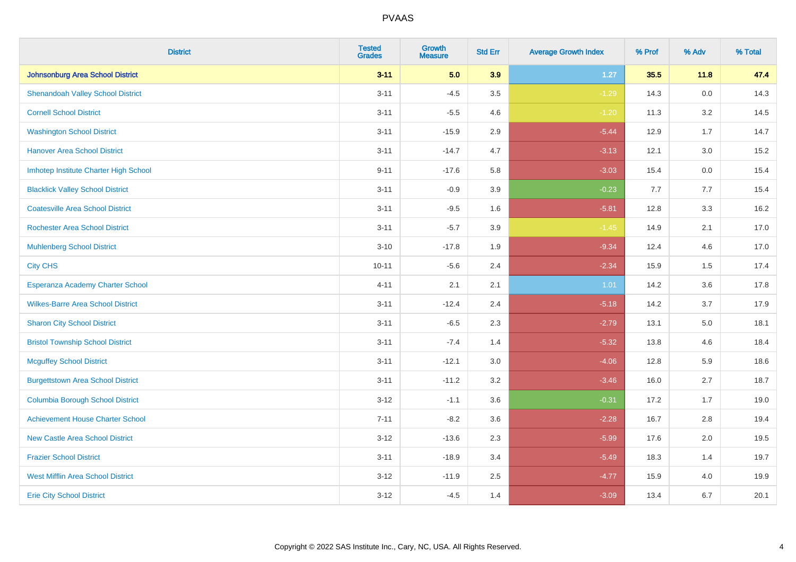| <b>District</b>                          | <b>Tested</b><br><b>Grades</b> | <b>Growth</b><br><b>Measure</b> | <b>Std Err</b> | <b>Average Growth Index</b> | % Prof | % Adv   | % Total |
|------------------------------------------|--------------------------------|---------------------------------|----------------|-----------------------------|--------|---------|---------|
| Johnsonburg Area School District         | $3 - 11$                       | 5.0                             | 3.9            | $1.27$                      | 35.5   | 11.8    | 47.4    |
| <b>Shenandoah Valley School District</b> | $3 - 11$                       | $-4.5$                          | 3.5            | $-1.29$                     | 14.3   | $0.0\,$ | 14.3    |
| <b>Cornell School District</b>           | $3 - 11$                       | $-5.5$                          | 4.6            | $-1.20$                     | 11.3   | 3.2     | 14.5    |
| <b>Washington School District</b>        | $3 - 11$                       | $-15.9$                         | 2.9            | $-5.44$                     | 12.9   | 1.7     | 14.7    |
| <b>Hanover Area School District</b>      | $3 - 11$                       | $-14.7$                         | 4.7            | $-3.13$                     | 12.1   | 3.0     | 15.2    |
| Imhotep Institute Charter High School    | $9 - 11$                       | $-17.6$                         | 5.8            | $-3.03$                     | 15.4   | 0.0     | 15.4    |
| <b>Blacklick Valley School District</b>  | $3 - 11$                       | $-0.9$                          | 3.9            | $-0.23$                     | 7.7    | 7.7     | 15.4    |
| <b>Coatesville Area School District</b>  | $3 - 11$                       | $-9.5$                          | 1.6            | $-5.81$                     | 12.8   | 3.3     | 16.2    |
| <b>Rochester Area School District</b>    | $3 - 11$                       | $-5.7$                          | 3.9            | $-1.45$                     | 14.9   | 2.1     | 17.0    |
| <b>Muhlenberg School District</b>        | $3 - 10$                       | $-17.8$                         | 1.9            | $-9.34$                     | 12.4   | 4.6     | 17.0    |
| <b>City CHS</b>                          | $10 - 11$                      | $-5.6$                          | 2.4            | $-2.34$                     | 15.9   | 1.5     | 17.4    |
| Esperanza Academy Charter School         | $4 - 11$                       | 2.1                             | 2.1            | 1.01                        | 14.2   | 3.6     | 17.8    |
| <b>Wilkes-Barre Area School District</b> | $3 - 11$                       | $-12.4$                         | 2.4            | $-5.18$                     | 14.2   | 3.7     | 17.9    |
| <b>Sharon City School District</b>       | $3 - 11$                       | $-6.5$                          | 2.3            | $-2.79$                     | 13.1   | $5.0\,$ | 18.1    |
| <b>Bristol Township School District</b>  | $3 - 11$                       | $-7.4$                          | 1.4            | $-5.32$                     | 13.8   | 4.6     | 18.4    |
| <b>Mcguffey School District</b>          | $3 - 11$                       | $-12.1$                         | 3.0            | $-4.06$                     | 12.8   | 5.9     | 18.6    |
| <b>Burgettstown Area School District</b> | $3 - 11$                       | $-11.2$                         | 3.2            | $-3.46$                     | 16.0   | 2.7     | 18.7    |
| <b>Columbia Borough School District</b>  | $3 - 12$                       | $-1.1$                          | 3.6            | $-0.31$                     | 17.2   | 1.7     | 19.0    |
| <b>Achievement House Charter School</b>  | $7 - 11$                       | $-8.2$                          | 3.6            | $-2.28$                     | 16.7   | 2.8     | 19.4    |
| <b>New Castle Area School District</b>   | $3 - 12$                       | $-13.6$                         | 2.3            | $-5.99$                     | 17.6   | 2.0     | 19.5    |
| <b>Frazier School District</b>           | $3 - 11$                       | $-18.9$                         | 3.4            | $-5.49$                     | 18.3   | 1.4     | 19.7    |
| <b>West Mifflin Area School District</b> | $3 - 12$                       | $-11.9$                         | 2.5            | $-4.77$                     | 15.9   | 4.0     | 19.9    |
| <b>Erie City School District</b>         | $3 - 12$                       | $-4.5$                          | 1.4            | $-3.09$                     | 13.4   | 6.7     | 20.1    |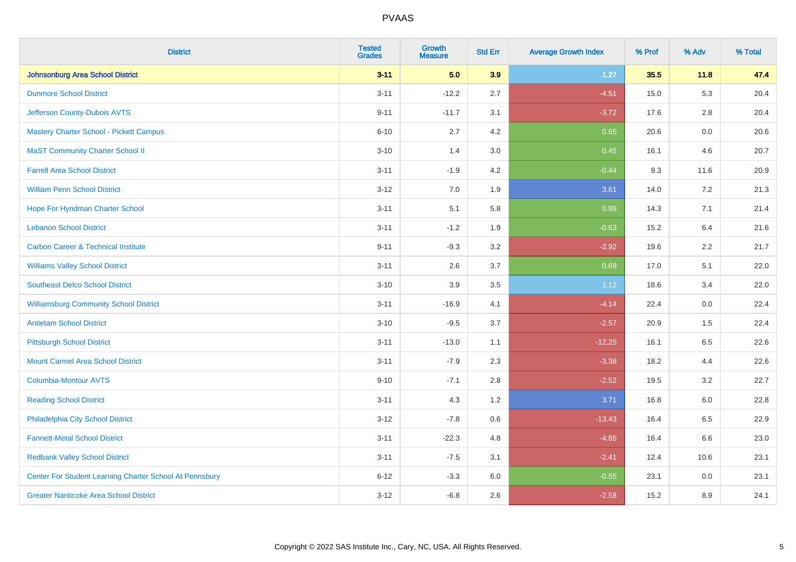| <b>District</b>                                         | <b>Tested</b><br><b>Grades</b> | <b>Growth</b><br><b>Measure</b> | <b>Std Err</b> | <b>Average Growth Index</b> | % Prof | % Adv   | % Total |
|---------------------------------------------------------|--------------------------------|---------------------------------|----------------|-----------------------------|--------|---------|---------|
| Johnsonburg Area School District                        | $3 - 11$                       | 5.0                             | 3.9            | 1.27                        | 35.5   | 11.8    | 47.4    |
| <b>Dunmore School District</b>                          | $3 - 11$                       | $-12.2$                         | 2.7            | $-4.51$                     | 15.0   | 5.3     | 20.4    |
| Jefferson County-Dubois AVTS                            | $9 - 11$                       | $-11.7$                         | 3.1            | $-3.72$                     | 17.6   | 2.8     | 20.4    |
| <b>Mastery Charter School - Pickett Campus</b>          | $6 - 10$                       | 2.7                             | 4.2            | 0.65                        | 20.6   | $0.0\,$ | 20.6    |
| <b>MaST Community Charter School II</b>                 | $3 - 10$                       | 1.4                             | 3.0            | 0.45                        | 16.1   | 4.6     | 20.7    |
| <b>Farrell Area School District</b>                     | $3 - 11$                       | $-1.9$                          | 4.2            | $-0.44$                     | 9.3    | 11.6    | 20.9    |
| <b>William Penn School District</b>                     | $3 - 12$                       | 7.0                             | 1.9            | 3.61                        | 14.0   | 7.2     | 21.3    |
| Hope For Hyndman Charter School                         | $3 - 11$                       | 5.1                             | 5.8            | 0.88                        | 14.3   | 7.1     | 21.4    |
| <b>Lebanon School District</b>                          | $3 - 11$                       | $-1.2$                          | 1.9            | $-0.63$                     | 15.2   | 6.4     | 21.6    |
| <b>Carbon Career &amp; Technical Institute</b>          | $9 - 11$                       | $-9.3$                          | 3.2            | $-2.92$                     | 19.6   | $2.2\,$ | 21.7    |
| <b>Williams Valley School District</b>                  | $3 - 11$                       | 2.6                             | 3.7            | 0.69                        | 17.0   | 5.1     | 22.0    |
| <b>Southeast Delco School District</b>                  | $3 - 10$                       | 3.9                             | 3.5            | 1.12                        | 18.6   | 3.4     | 22.0    |
| <b>Williamsburg Community School District</b>           | $3 - 11$                       | $-16.9$                         | 4.1            | $-4.14$                     | 22.4   | $0.0\,$ | 22.4    |
| <b>Antietam School District</b>                         | $3 - 10$                       | $-9.5$                          | 3.7            | $-2.57$                     | 20.9   | 1.5     | 22.4    |
| <b>Pittsburgh School District</b>                       | $3 - 11$                       | $-13.0$                         | 1.1            | $-12.25$                    | 16.1   | 6.5     | 22.6    |
| <b>Mount Carmel Area School District</b>                | $3 - 11$                       | $-7.9$                          | 2.3            | $-3.38$                     | 18.2   | 4.4     | 22.6    |
| <b>Columbia-Montour AVTS</b>                            | $9 - 10$                       | $-7.1$                          | 2.8            | $-2.52$                     | 19.5   | 3.2     | 22.7    |
| <b>Reading School District</b>                          | $3 - 11$                       | 4.3                             | 1.2            | 3.71                        | 16.8   | 6.0     | 22.8    |
| Philadelphia City School District                       | $3 - 12$                       | $-7.8$                          | 0.6            | $-13.43$                    | 16.4   | 6.5     | 22.9    |
| <b>Fannett-Metal School District</b>                    | $3 - 11$                       | $-22.3$                         | 4.8            | $-4.65$                     | 16.4   | 6.6     | 23.0    |
| <b>Redbank Valley School District</b>                   | $3 - 11$                       | $-7.5$                          | 3.1            | $-2.41$                     | 12.4   | 10.6    | 23.1    |
| Center For Student Learning Charter School At Pennsbury | $6 - 12$                       | $-3.3$                          | 6.0            | $-0.55$                     | 23.1   | 0.0     | 23.1    |
| <b>Greater Nanticoke Area School District</b>           | $3 - 12$                       | $-6.8$                          | 2.6            | $-2.58$                     | 15.2   | 8.9     | 24.1    |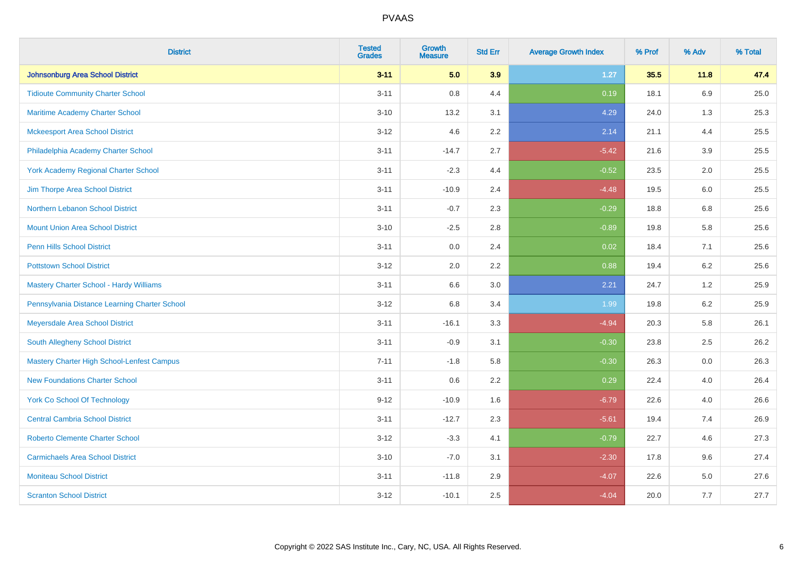| <b>District</b>                                   | <b>Tested</b><br><b>Grades</b> | Growth<br><b>Measure</b> | <b>Std Err</b> | <b>Average Growth Index</b> | % Prof | % Adv   | % Total |
|---------------------------------------------------|--------------------------------|--------------------------|----------------|-----------------------------|--------|---------|---------|
| Johnsonburg Area School District                  | $3 - 11$                       | 5.0                      | 3.9            | 1.27                        | 35.5   | 11.8    | 47.4    |
| <b>Tidioute Community Charter School</b>          | $3 - 11$                       | 0.8                      | 4.4            | 0.19                        | 18.1   | 6.9     | 25.0    |
| Maritime Academy Charter School                   | $3 - 10$                       | 13.2                     | 3.1            | 4.29                        | 24.0   | 1.3     | 25.3    |
| <b>Mckeesport Area School District</b>            | $3 - 12$                       | 4.6                      | 2.2            | 2.14                        | 21.1   | 4.4     | 25.5    |
| Philadelphia Academy Charter School               | $3 - 11$                       | $-14.7$                  | 2.7            | $-5.42$                     | 21.6   | 3.9     | 25.5    |
| <b>York Academy Regional Charter School</b>       | $3 - 11$                       | $-2.3$                   | 4.4            | $-0.52$                     | 23.5   | 2.0     | 25.5    |
| Jim Thorpe Area School District                   | $3 - 11$                       | $-10.9$                  | 2.4            | $-4.48$                     | 19.5   | $6.0\,$ | 25.5    |
| Northern Lebanon School District                  | $3 - 11$                       | $-0.7$                   | 2.3            | $-0.29$                     | 18.8   | 6.8     | 25.6    |
| <b>Mount Union Area School District</b>           | $3 - 10$                       | $-2.5$                   | 2.8            | $-0.89$                     | 19.8   | 5.8     | 25.6    |
| <b>Penn Hills School District</b>                 | $3 - 11$                       | 0.0                      | 2.4            | 0.02                        | 18.4   | 7.1     | 25.6    |
| <b>Pottstown School District</b>                  | $3 - 12$                       | 2.0                      | 2.2            | 0.88                        | 19.4   | $6.2\,$ | 25.6    |
| Mastery Charter School - Hardy Williams           | $3 - 11$                       | 6.6                      | 3.0            | 2.21                        | 24.7   | 1.2     | 25.9    |
| Pennsylvania Distance Learning Charter School     | $3 - 12$                       | $6.8\,$                  | 3.4            | 1.99                        | 19.8   | $6.2\,$ | 25.9    |
| Meyersdale Area School District                   | $3 - 11$                       | $-16.1$                  | 3.3            | $-4.94$                     | 20.3   | 5.8     | 26.1    |
| South Allegheny School District                   | $3 - 11$                       | $-0.9$                   | 3.1            | $-0.30$                     | 23.8   | 2.5     | 26.2    |
| <b>Mastery Charter High School-Lenfest Campus</b> | $7 - 11$                       | $-1.8$                   | 5.8            | $-0.30$                     | 26.3   | $0.0\,$ | 26.3    |
| <b>New Foundations Charter School</b>             | $3 - 11$                       | 0.6                      | 2.2            | 0.29                        | 22.4   | 4.0     | 26.4    |
| <b>York Co School Of Technology</b>               | $9 - 12$                       | $-10.9$                  | 1.6            | $-6.79$                     | 22.6   | 4.0     | 26.6    |
| <b>Central Cambria School District</b>            | $3 - 11$                       | $-12.7$                  | 2.3            | $-5.61$                     | 19.4   | 7.4     | 26.9    |
| <b>Roberto Clemente Charter School</b>            | $3 - 12$                       | $-3.3$                   | 4.1            | $-0.79$                     | 22.7   | 4.6     | 27.3    |
| <b>Carmichaels Area School District</b>           | $3 - 10$                       | $-7.0$                   | 3.1            | $-2.30$                     | 17.8   | 9.6     | 27.4    |
| <b>Moniteau School District</b>                   | $3 - 11$                       | $-11.8$                  | 2.9            | $-4.07$                     | 22.6   | 5.0     | 27.6    |
| <b>Scranton School District</b>                   | $3 - 12$                       | $-10.1$                  | 2.5            | $-4.04$                     | 20.0   | 7.7     | 27.7    |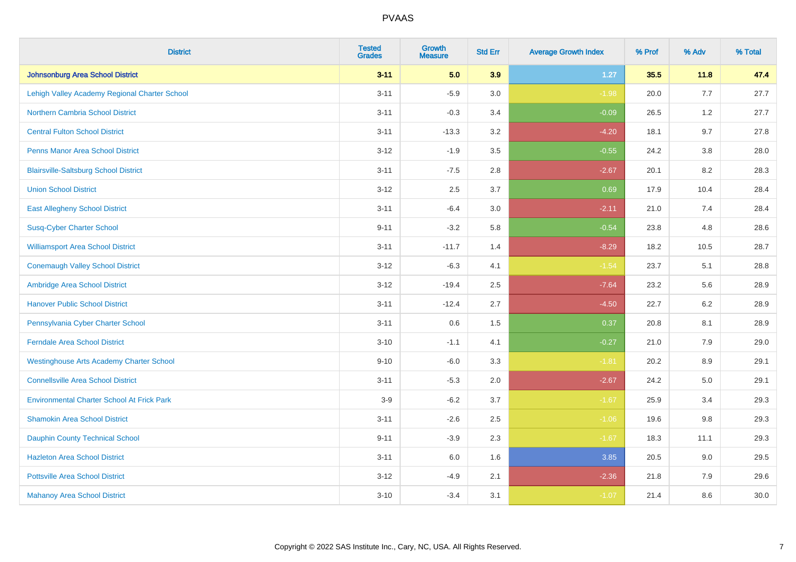| <b>District</b>                                   | <b>Tested</b><br><b>Grades</b> | <b>Growth</b><br><b>Measure</b> | <b>Std Err</b> | <b>Average Growth Index</b> | % Prof | % Adv   | % Total |
|---------------------------------------------------|--------------------------------|---------------------------------|----------------|-----------------------------|--------|---------|---------|
| Johnsonburg Area School District                  | $3 - 11$                       | 5.0                             | 3.9            | $1.27$                      | 35.5   | 11.8    | 47.4    |
| Lehigh Valley Academy Regional Charter School     | $3 - 11$                       | $-5.9$                          | 3.0            | $-1.98$                     | 20.0   | 7.7     | 27.7    |
| <b>Northern Cambria School District</b>           | $3 - 11$                       | $-0.3$                          | 3.4            | $-0.09$                     | 26.5   | 1.2     | 27.7    |
| <b>Central Fulton School District</b>             | $3 - 11$                       | $-13.3$                         | 3.2            | $-4.20$                     | 18.1   | 9.7     | 27.8    |
| <b>Penns Manor Area School District</b>           | $3 - 12$                       | $-1.9$                          | 3.5            | $-0.55$                     | 24.2   | 3.8     | 28.0    |
| <b>Blairsville-Saltsburg School District</b>      | $3 - 11$                       | $-7.5$                          | 2.8            | $-2.67$                     | 20.1   | 8.2     | 28.3    |
| <b>Union School District</b>                      | $3 - 12$                       | 2.5                             | 3.7            | 0.69                        | 17.9   | 10.4    | 28.4    |
| <b>East Allegheny School District</b>             | $3 - 11$                       | $-6.4$                          | 3.0            | $-2.11$                     | 21.0   | 7.4     | 28.4    |
| <b>Susq-Cyber Charter School</b>                  | $9 - 11$                       | $-3.2$                          | 5.8            | $-0.54$                     | 23.8   | 4.8     | 28.6    |
| <b>Williamsport Area School District</b>          | $3 - 11$                       | $-11.7$                         | 1.4            | $-8.29$                     | 18.2   | 10.5    | 28.7    |
| <b>Conemaugh Valley School District</b>           | $3 - 12$                       | $-6.3$                          | 4.1            | $-1.54$                     | 23.7   | 5.1     | 28.8    |
| Ambridge Area School District                     | $3 - 12$                       | $-19.4$                         | 2.5            | $-7.64$                     | 23.2   | 5.6     | 28.9    |
| <b>Hanover Public School District</b>             | $3 - 11$                       | $-12.4$                         | 2.7            | $-4.50$                     | 22.7   | $6.2\,$ | 28.9    |
| Pennsylvania Cyber Charter School                 | $3 - 11$                       | 0.6                             | 1.5            | 0.37                        | 20.8   | 8.1     | 28.9    |
| <b>Ferndale Area School District</b>              | $3 - 10$                       | $-1.1$                          | 4.1            | $-0.27$                     | 21.0   | 7.9     | 29.0    |
| <b>Westinghouse Arts Academy Charter School</b>   | $9 - 10$                       | $-6.0$                          | 3.3            | $-1.81$                     | 20.2   | $8.9\,$ | 29.1    |
| <b>Connellsville Area School District</b>         | $3 - 11$                       | $-5.3$                          | 2.0            | $-2.67$                     | 24.2   | 5.0     | 29.1    |
| <b>Environmental Charter School At Frick Park</b> | $3-9$                          | $-6.2$                          | 3.7            | $-1.67$                     | 25.9   | 3.4     | 29.3    |
| <b>Shamokin Area School District</b>              | $3 - 11$                       | $-2.6$                          | 2.5            | $-1.06$                     | 19.6   | 9.8     | 29.3    |
| <b>Dauphin County Technical School</b>            | $9 - 11$                       | $-3.9$                          | 2.3            | $-1.67$                     | 18.3   | 11.1    | 29.3    |
| <b>Hazleton Area School District</b>              | $3 - 11$                       | 6.0                             | 1.6            | 3.85                        | 20.5   | 9.0     | 29.5    |
| <b>Pottsville Area School District</b>            | $3 - 12$                       | $-4.9$                          | 2.1            | $-2.36$                     | 21.8   | 7.9     | 29.6    |
| <b>Mahanoy Area School District</b>               | $3 - 10$                       | $-3.4$                          | 3.1            | $-1.07$                     | 21.4   | 8.6     | 30.0    |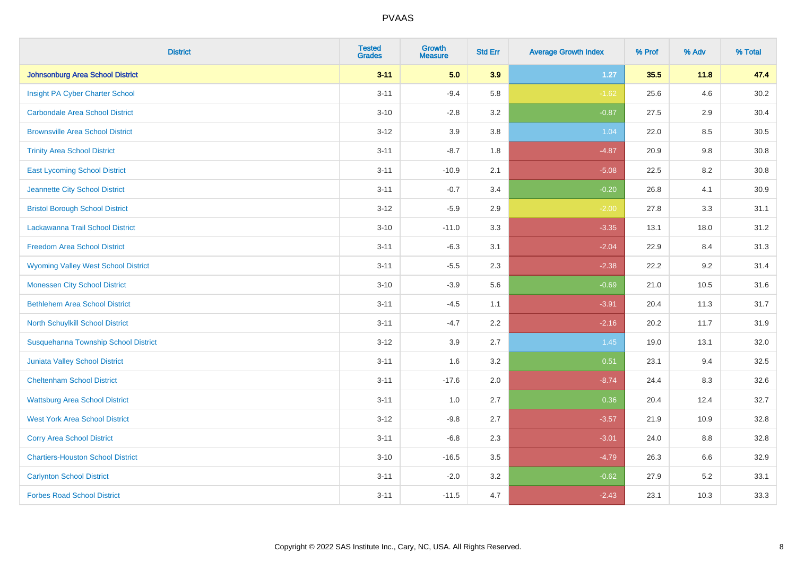| <b>District</b>                            | <b>Tested</b><br><b>Grades</b> | Growth<br><b>Measure</b> | <b>Std Err</b> | <b>Average Growth Index</b> | % Prof | % Adv   | % Total |
|--------------------------------------------|--------------------------------|--------------------------|----------------|-----------------------------|--------|---------|---------|
| <b>Johnsonburg Area School District</b>    | $3 - 11$                       | 5.0                      | 3.9            | 1.27                        | 35.5   | 11.8    | 47.4    |
| Insight PA Cyber Charter School            | $3 - 11$                       | $-9.4$                   | 5.8            | $-1.62$                     | 25.6   | 4.6     | 30.2    |
| <b>Carbondale Area School District</b>     | $3 - 10$                       | $-2.8$                   | 3.2            | $-0.87$                     | 27.5   | $2.9\,$ | 30.4    |
| <b>Brownsville Area School District</b>    | $3 - 12$                       | 3.9                      | 3.8            | 1.04                        | 22.0   | 8.5     | 30.5    |
| <b>Trinity Area School District</b>        | $3 - 11$                       | $-8.7$                   | 1.8            | $-4.87$                     | 20.9   | 9.8     | 30.8    |
| <b>East Lycoming School District</b>       | $3 - 11$                       | $-10.9$                  | 2.1            | $-5.08$                     | 22.5   | $8.2\,$ | 30.8    |
| Jeannette City School District             | $3 - 11$                       | $-0.7$                   | 3.4            | $-0.20$                     | 26.8   | 4.1     | 30.9    |
| <b>Bristol Borough School District</b>     | $3 - 12$                       | $-5.9$                   | 2.9            | $-2.00$                     | 27.8   | 3.3     | 31.1    |
| Lackawanna Trail School District           | $3 - 10$                       | $-11.0$                  | 3.3            | $-3.35$                     | 13.1   | 18.0    | 31.2    |
| <b>Freedom Area School District</b>        | $3 - 11$                       | $-6.3$                   | 3.1            | $-2.04$                     | 22.9   | 8.4     | 31.3    |
| <b>Wyoming Valley West School District</b> | $3 - 11$                       | $-5.5$                   | 2.3            | $-2.38$                     | 22.2   | 9.2     | 31.4    |
| <b>Monessen City School District</b>       | $3 - 10$                       | $-3.9$                   | 5.6            | $-0.69$                     | 21.0   | 10.5    | 31.6    |
| <b>Bethlehem Area School District</b>      | $3 - 11$                       | $-4.5$                   | 1.1            | $-3.91$                     | 20.4   | 11.3    | 31.7    |
| North Schuylkill School District           | $3 - 11$                       | $-4.7$                   | 2.2            | $-2.16$                     | 20.2   | 11.7    | 31.9    |
| Susquehanna Township School District       | $3 - 12$                       | 3.9                      | 2.7            | 1.45                        | 19.0   | 13.1    | 32.0    |
| Juniata Valley School District             | $3 - 11$                       | 1.6                      | 3.2            | 0.51                        | 23.1   | 9.4     | 32.5    |
| <b>Cheltenham School District</b>          | $3 - 11$                       | $-17.6$                  | 2.0            | $-8.74$                     | 24.4   | 8.3     | 32.6    |
| <b>Wattsburg Area School District</b>      | $3 - 11$                       | 1.0                      | 2.7            | 0.36                        | 20.4   | 12.4    | 32.7    |
| <b>West York Area School District</b>      | $3 - 12$                       | $-9.8$                   | 2.7            | $-3.57$                     | 21.9   | 10.9    | 32.8    |
| <b>Corry Area School District</b>          | $3 - 11$                       | $-6.8$                   | 2.3            | $-3.01$                     | 24.0   | 8.8     | 32.8    |
| <b>Chartiers-Houston School District</b>   | $3 - 10$                       | $-16.5$                  | 3.5            | $-4.79$                     | 26.3   | 6.6     | 32.9    |
| <b>Carlynton School District</b>           | $3 - 11$                       | $-2.0$                   | 3.2            | $-0.62$                     | 27.9   | 5.2     | 33.1    |
| <b>Forbes Road School District</b>         | $3 - 11$                       | $-11.5$                  | 4.7            | $-2.43$                     | 23.1   | 10.3    | 33.3    |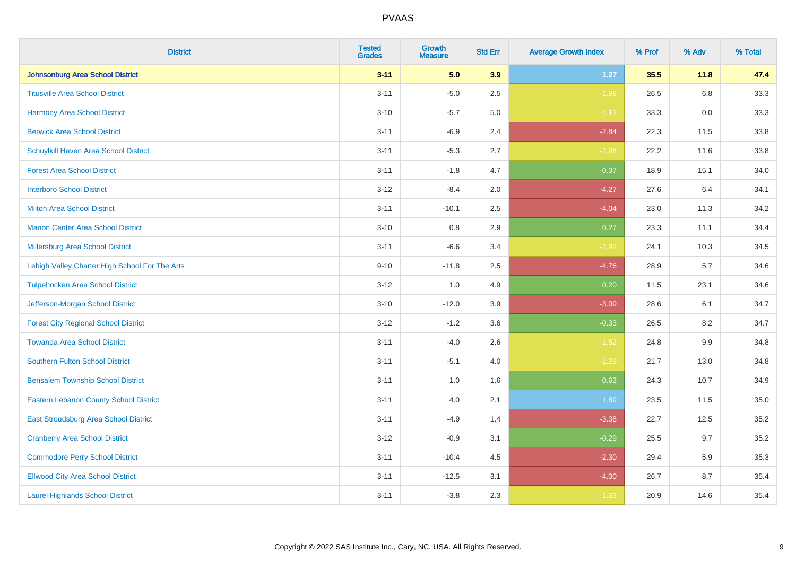| <b>District</b>                                | <b>Tested</b><br><b>Grades</b> | <b>Growth</b><br><b>Measure</b> | <b>Std Err</b> | <b>Average Growth Index</b> | % Prof | % Adv | % Total |
|------------------------------------------------|--------------------------------|---------------------------------|----------------|-----------------------------|--------|-------|---------|
| <b>Johnsonburg Area School District</b>        | $3 - 11$                       | 5.0                             | 3.9            | $1.27$                      | 35.5   | 11.8  | 47.4    |
| <b>Titusville Area School District</b>         | $3 - 11$                       | $-5.0$                          | 2.5            | $-1.98$                     | 26.5   | 6.8   | 33.3    |
| Harmony Area School District                   | $3 - 10$                       | $-5.7$                          | 5.0            | $-1.13$                     | 33.3   | 0.0   | 33.3    |
| <b>Berwick Area School District</b>            | $3 - 11$                       | $-6.9$                          | 2.4            | $-2.84$                     | 22.3   | 11.5  | 33.8    |
| Schuylkill Haven Area School District          | $3 - 11$                       | $-5.3$                          | 2.7            | $-1.96$                     | 22.2   | 11.6  | 33.8    |
| <b>Forest Area School District</b>             | $3 - 11$                       | $-1.8$                          | 4.7            | $-0.37$                     | 18.9   | 15.1  | 34.0    |
| <b>Interboro School District</b>               | $3 - 12$                       | $-8.4$                          | 2.0            | $-4.27$                     | 27.6   | 6.4   | 34.1    |
| <b>Milton Area School District</b>             | $3 - 11$                       | $-10.1$                         | 2.5            | $-4.04$                     | 23.0   | 11.3  | 34.2    |
| <b>Marion Center Area School District</b>      | $3 - 10$                       | 0.8                             | 2.9            | 0.27                        | 23.3   | 11.1  | 34.4    |
| <b>Millersburg Area School District</b>        | $3 - 11$                       | $-6.6$                          | 3.4            | $-1.92$                     | 24.1   | 10.3  | 34.5    |
| Lehigh Valley Charter High School For The Arts | $9 - 10$                       | $-11.8$                         | 2.5            | $-4.76$                     | 28.9   | 5.7   | 34.6    |
| <b>Tulpehocken Area School District</b>        | $3 - 12$                       | 1.0                             | 4.9            | 0.20                        | 11.5   | 23.1  | 34.6    |
| Jefferson-Morgan School District               | $3 - 10$                       | $-12.0$                         | 3.9            | $-3.09$                     | 28.6   | 6.1   | 34.7    |
| <b>Forest City Regional School District</b>    | $3 - 12$                       | $-1.2$                          | 3.6            | $-0.33$                     | 26.5   | 8.2   | 34.7    |
| <b>Towanda Area School District</b>            | $3 - 11$                       | $-4.0$                          | 2.6            | $-1.52$                     | 24.8   | 9.9   | 34.8    |
| <b>Southern Fulton School District</b>         | $3 - 11$                       | $-5.1$                          | 4.0            | $-1.29$                     | 21.7   | 13.0  | 34.8    |
| <b>Bensalem Township School District</b>       | $3 - 11$                       | 1.0                             | 1.6            | 0.63                        | 24.3   | 10.7  | 34.9    |
| <b>Eastern Lebanon County School District</b>  | $3 - 11$                       | 4.0                             | 2.1            | 1.89                        | 23.5   | 11.5  | 35.0    |
| East Stroudsburg Area School District          | $3 - 11$                       | $-4.9$                          | 1.4            | $-3.38$                     | 22.7   | 12.5  | 35.2    |
| <b>Cranberry Area School District</b>          | $3 - 12$                       | $-0.9$                          | 3.1            | $-0.29$                     | 25.5   | 9.7   | 35.2    |
| <b>Commodore Perry School District</b>         | $3 - 11$                       | $-10.4$                         | 4.5            | $-2.30$                     | 29.4   | 5.9   | 35.3    |
| <b>Ellwood City Area School District</b>       | $3 - 11$                       | $-12.5$                         | 3.1            | $-4.00$                     | 26.7   | 8.7   | 35.4    |
| <b>Laurel Highlands School District</b>        | $3 - 11$                       | $-3.8$                          | 2.3            | $-1.63$                     | 20.9   | 14.6  | 35.4    |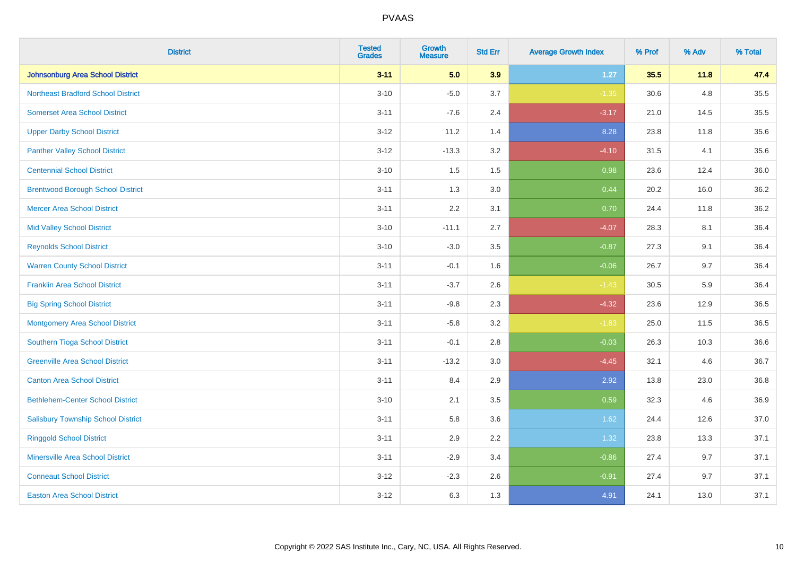| <b>District</b>                           | <b>Tested</b><br><b>Grades</b> | <b>Growth</b><br><b>Measure</b> | <b>Std Err</b> | <b>Average Growth Index</b> | % Prof | % Adv | % Total |
|-------------------------------------------|--------------------------------|---------------------------------|----------------|-----------------------------|--------|-------|---------|
| <b>Johnsonburg Area School District</b>   | $3 - 11$                       | 5.0                             | 3.9            | $1.27$                      | 35.5   | 11.8  | 47.4    |
| <b>Northeast Bradford School District</b> | $3 - 10$                       | $-5.0$                          | 3.7            | $-1.35$                     | 30.6   | 4.8   | 35.5    |
| <b>Somerset Area School District</b>      | $3 - 11$                       | $-7.6$                          | 2.4            | $-3.17$                     | 21.0   | 14.5  | 35.5    |
| <b>Upper Darby School District</b>        | $3 - 12$                       | 11.2                            | 1.4            | 8.28                        | 23.8   | 11.8  | 35.6    |
| <b>Panther Valley School District</b>     | $3 - 12$                       | $-13.3$                         | 3.2            | $-4.10$                     | 31.5   | 4.1   | 35.6    |
| <b>Centennial School District</b>         | $3 - 10$                       | 1.5                             | 1.5            | 0.98                        | 23.6   | 12.4  | 36.0    |
| <b>Brentwood Borough School District</b>  | $3 - 11$                       | 1.3                             | 3.0            | 0.44                        | 20.2   | 16.0  | 36.2    |
| <b>Mercer Area School District</b>        | $3 - 11$                       | 2.2                             | 3.1            | 0.70                        | 24.4   | 11.8  | 36.2    |
| <b>Mid Valley School District</b>         | $3 - 10$                       | $-11.1$                         | 2.7            | $-4.07$                     | 28.3   | 8.1   | 36.4    |
| <b>Reynolds School District</b>           | $3 - 10$                       | $-3.0$                          | 3.5            | $-0.87$                     | 27.3   | 9.1   | 36.4    |
| <b>Warren County School District</b>      | $3 - 11$                       | $-0.1$                          | 1.6            | $-0.06$                     | 26.7   | 9.7   | 36.4    |
| <b>Franklin Area School District</b>      | $3 - 11$                       | $-3.7$                          | 2.6            | $-1.43$                     | 30.5   | 5.9   | 36.4    |
| <b>Big Spring School District</b>         | $3 - 11$                       | $-9.8$                          | 2.3            | $-4.32$                     | 23.6   | 12.9  | 36.5    |
| <b>Montgomery Area School District</b>    | $3 - 11$                       | $-5.8$                          | 3.2            | $-1.83$                     | 25.0   | 11.5  | 36.5    |
| Southern Tioga School District            | $3 - 11$                       | $-0.1$                          | 2.8            | $-0.03$                     | 26.3   | 10.3  | 36.6    |
| <b>Greenville Area School District</b>    | $3 - 11$                       | $-13.2$                         | 3.0            | $-4.45$                     | 32.1   | 4.6   | 36.7    |
| <b>Canton Area School District</b>        | $3 - 11$                       | 8.4                             | 2.9            | 2.92                        | 13.8   | 23.0  | 36.8    |
| <b>Bethlehem-Center School District</b>   | $3 - 10$                       | 2.1                             | 3.5            | 0.59                        | 32.3   | 4.6   | 36.9    |
| <b>Salisbury Township School District</b> | $3 - 11$                       | 5.8                             | 3.6            | 1.62                        | 24.4   | 12.6  | 37.0    |
| <b>Ringgold School District</b>           | $3 - 11$                       | 2.9                             | 2.2            | 1.32                        | 23.8   | 13.3  | 37.1    |
| <b>Minersville Area School District</b>   | $3 - 11$                       | $-2.9$                          | 3.4            | $-0.86$                     | 27.4   | 9.7   | 37.1    |
| <b>Conneaut School District</b>           | $3-12$                         | $-2.3$                          | 2.6            | $-0.91$                     | 27.4   | 9.7   | 37.1    |
| <b>Easton Area School District</b>        | $3 - 12$                       | 6.3                             | 1.3            | 4.91                        | 24.1   | 13.0  | 37.1    |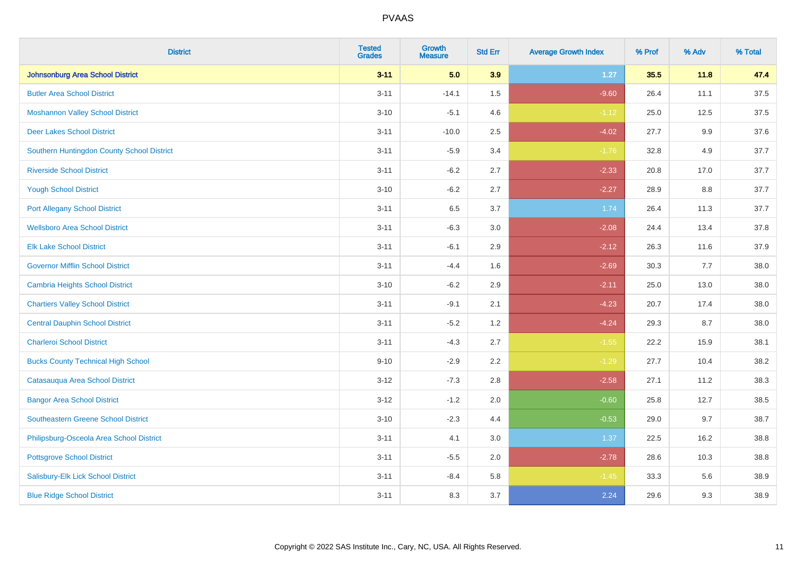| <b>District</b>                            | <b>Tested</b><br><b>Grades</b> | <b>Growth</b><br><b>Measure</b> | <b>Std Err</b> | <b>Average Growth Index</b> | % Prof | % Adv   | % Total |
|--------------------------------------------|--------------------------------|---------------------------------|----------------|-----------------------------|--------|---------|---------|
| Johnsonburg Area School District           | $3 - 11$                       | 5.0                             | 3.9            | $1.27$                      | 35.5   | 11.8    | 47.4    |
| <b>Butler Area School District</b>         | $3 - 11$                       | $-14.1$                         | $1.5$          | $-9.60$                     | 26.4   | 11.1    | 37.5    |
| <b>Moshannon Valley School District</b>    | $3 - 10$                       | $-5.1$                          | 4.6            | $-1.12$                     | 25.0   | 12.5    | 37.5    |
| <b>Deer Lakes School District</b>          | $3 - 11$                       | $-10.0$                         | 2.5            | $-4.02$                     | 27.7   | $9.9\,$ | 37.6    |
| Southern Huntingdon County School District | $3 - 11$                       | $-5.9$                          | 3.4            | $-1.76$                     | 32.8   | 4.9     | 37.7    |
| <b>Riverside School District</b>           | $3 - 11$                       | $-6.2$                          | 2.7            | $-2.33$                     | 20.8   | 17.0    | 37.7    |
| <b>Yough School District</b>               | $3 - 10$                       | $-6.2$                          | 2.7            | $-2.27$                     | 28.9   | 8.8     | 37.7    |
| <b>Port Allegany School District</b>       | $3 - 11$                       | 6.5                             | 3.7            | 1.74                        | 26.4   | 11.3    | 37.7    |
| <b>Wellsboro Area School District</b>      | $3 - 11$                       | $-6.3$                          | 3.0            | $-2.08$                     | 24.4   | 13.4    | 37.8    |
| <b>Elk Lake School District</b>            | $3 - 11$                       | $-6.1$                          | 2.9            | $-2.12$                     | 26.3   | 11.6    | 37.9    |
| <b>Governor Mifflin School District</b>    | $3 - 11$                       | $-4.4$                          | 1.6            | $-2.69$                     | 30.3   | 7.7     | 38.0    |
| <b>Cambria Heights School District</b>     | $3 - 10$                       | $-6.2$                          | 2.9            | $-2.11$                     | 25.0   | 13.0    | 38.0    |
| <b>Chartiers Valley School District</b>    | $3 - 11$                       | $-9.1$                          | 2.1            | $-4.23$                     | 20.7   | 17.4    | 38.0    |
| <b>Central Dauphin School District</b>     | $3 - 11$                       | $-5.2$                          | 1.2            | $-4.24$                     | 29.3   | 8.7     | 38.0    |
| <b>Charleroi School District</b>           | $3 - 11$                       | $-4.3$                          | 2.7            | $-1.55$                     | 22.2   | 15.9    | 38.1    |
| <b>Bucks County Technical High School</b>  | $9 - 10$                       | $-2.9$                          | 2.2            | $-1.29$                     | 27.7   | 10.4    | 38.2    |
| Catasauqua Area School District            | $3 - 12$                       | $-7.3$                          | 2.8            | $-2.58$                     | 27.1   | 11.2    | 38.3    |
| <b>Bangor Area School District</b>         | $3 - 12$                       | $-1.2$                          | 2.0            | $-0.60$                     | 25.8   | 12.7    | 38.5    |
| Southeastern Greene School District        | $3 - 10$                       | $-2.3$                          | 4.4            | $-0.53$                     | 29.0   | 9.7     | 38.7    |
| Philipsburg-Osceola Area School District   | $3 - 11$                       | 4.1                             | 3.0            | 1.37                        | 22.5   | 16.2    | 38.8    |
| <b>Pottsgrove School District</b>          | $3 - 11$                       | $-5.5$                          | 2.0            | $-2.78$                     | 28.6   | 10.3    | 38.8    |
| Salisbury-Elk Lick School District         | $3 - 11$                       | $-8.4$                          | 5.8            | $-1.45$                     | 33.3   | 5.6     | 38.9    |
| <b>Blue Ridge School District</b>          | $3 - 11$                       | 8.3                             | 3.7            | 2.24                        | 29.6   | 9.3     | 38.9    |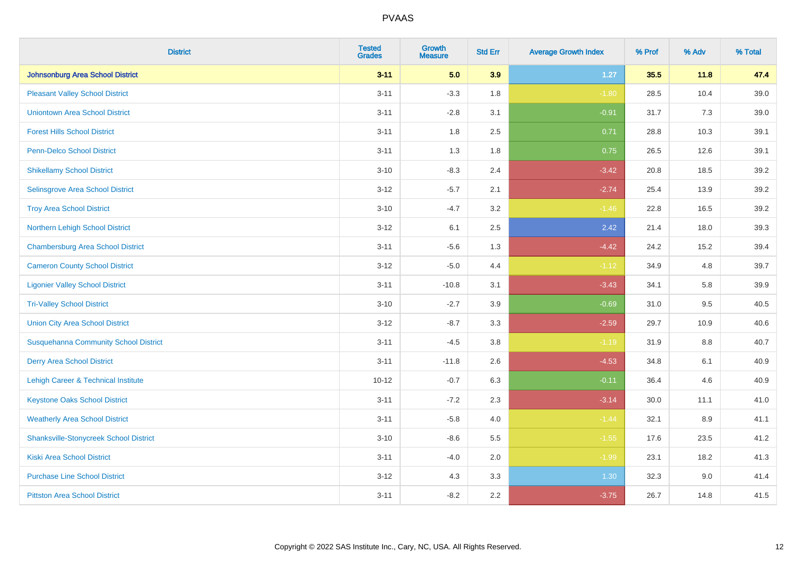| <b>District</b>                               | <b>Tested</b><br><b>Grades</b> | <b>Growth</b><br><b>Measure</b> | <b>Std Err</b> | <b>Average Growth Index</b> | % Prof | % Adv | % Total |
|-----------------------------------------------|--------------------------------|---------------------------------|----------------|-----------------------------|--------|-------|---------|
| <b>Johnsonburg Area School District</b>       | $3 - 11$                       | 5.0                             | 3.9            | $1.27$                      | 35.5   | 11.8  | 47.4    |
| <b>Pleasant Valley School District</b>        | $3 - 11$                       | $-3.3$                          | 1.8            | $-1.80$                     | 28.5   | 10.4  | 39.0    |
| <b>Uniontown Area School District</b>         | $3 - 11$                       | $-2.8$                          | 3.1            | $-0.91$                     | 31.7   | 7.3   | 39.0    |
| <b>Forest Hills School District</b>           | $3 - 11$                       | 1.8                             | 2.5            | 0.71                        | 28.8   | 10.3  | 39.1    |
| <b>Penn-Delco School District</b>             | $3 - 11$                       | 1.3                             | 1.8            | 0.75                        | 26.5   | 12.6  | 39.1    |
| <b>Shikellamy School District</b>             | $3 - 10$                       | $-8.3$                          | 2.4            | $-3.42$                     | 20.8   | 18.5  | 39.2    |
| Selinsgrove Area School District              | $3 - 12$                       | $-5.7$                          | 2.1            | $-2.74$                     | 25.4   | 13.9  | 39.2    |
| <b>Troy Area School District</b>              | $3 - 10$                       | $-4.7$                          | 3.2            | $-1.46$                     | 22.8   | 16.5  | 39.2    |
| Northern Lehigh School District               | $3 - 12$                       | 6.1                             | 2.5            | 2.42                        | 21.4   | 18.0  | 39.3    |
| <b>Chambersburg Area School District</b>      | $3 - 11$                       | $-5.6$                          | 1.3            | $-4.42$                     | 24.2   | 15.2  | 39.4    |
| <b>Cameron County School District</b>         | $3-12$                         | $-5.0$                          | 4.4            | $-1.12$                     | 34.9   | 4.8   | 39.7    |
| <b>Ligonier Valley School District</b>        | $3 - 11$                       | $-10.8$                         | 3.1            | $-3.43$                     | 34.1   | 5.8   | 39.9    |
| <b>Tri-Valley School District</b>             | $3 - 10$                       | $-2.7$                          | 3.9            | $-0.69$                     | 31.0   | 9.5   | 40.5    |
| <b>Union City Area School District</b>        | $3 - 12$                       | $-8.7$                          | 3.3            | $-2.59$                     | 29.7   | 10.9  | 40.6    |
| <b>Susquehanna Community School District</b>  | $3 - 11$                       | $-4.5$                          | 3.8            | $-1.19$                     | 31.9   | 8.8   | 40.7    |
| <b>Derry Area School District</b>             | $3 - 11$                       | $-11.8$                         | 2.6            | $-4.53$                     | 34.8   | 6.1   | 40.9    |
| Lehigh Career & Technical Institute           | $10 - 12$                      | $-0.7$                          | 6.3            | $-0.11$                     | 36.4   | 4.6   | 40.9    |
| <b>Keystone Oaks School District</b>          | $3 - 11$                       | $-7.2$                          | 2.3            | $-3.14$                     | 30.0   | 11.1  | 41.0    |
| <b>Weatherly Area School District</b>         | $3 - 11$                       | $-5.8$                          | 4.0            | $-1.44$                     | 32.1   | 8.9   | 41.1    |
| <b>Shanksville-Stonycreek School District</b> | $3 - 10$                       | $-8.6$                          | 5.5            | $-1.55$                     | 17.6   | 23.5  | 41.2    |
| <b>Kiski Area School District</b>             | $3 - 11$                       | $-4.0$                          | 2.0            | $-1.99$                     | 23.1   | 18.2  | 41.3    |
| <b>Purchase Line School District</b>          | $3-12$                         | 4.3                             | 3.3            | 1.30                        | 32.3   | 9.0   | 41.4    |
| <b>Pittston Area School District</b>          | $3 - 11$                       | $-8.2$                          | 2.2            | $-3.75$                     | 26.7   | 14.8  | 41.5    |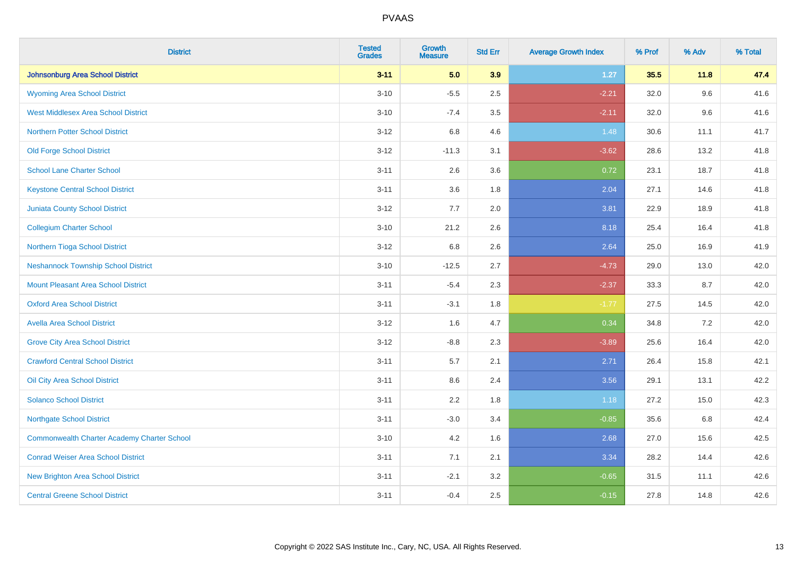| <b>District</b>                                    | <b>Tested</b><br><b>Grades</b> | Growth<br><b>Measure</b> | <b>Std Err</b> | <b>Average Growth Index</b> | % Prof | % Adv | % Total |
|----------------------------------------------------|--------------------------------|--------------------------|----------------|-----------------------------|--------|-------|---------|
| <b>Johnsonburg Area School District</b>            | $3 - 11$                       | 5.0                      | 3.9            | 1.27                        | 35.5   | 11.8  | 47.4    |
| <b>Wyoming Area School District</b>                | $3 - 10$                       | $-5.5$                   | 2.5            | $-2.21$                     | 32.0   | 9.6   | 41.6    |
| <b>West Middlesex Area School District</b>         | $3 - 10$                       | $-7.4$                   | 3.5            | $-2.11$                     | 32.0   | 9.6   | 41.6    |
| <b>Northern Potter School District</b>             | $3 - 12$                       | 6.8                      | 4.6            | 1.48                        | 30.6   | 11.1  | 41.7    |
| <b>Old Forge School District</b>                   | $3 - 12$                       | $-11.3$                  | 3.1            | $-3.62$                     | 28.6   | 13.2  | 41.8    |
| <b>School Lane Charter School</b>                  | $3 - 11$                       | 2.6                      | 3.6            | 0.72                        | 23.1   | 18.7  | 41.8    |
| <b>Keystone Central School District</b>            | $3 - 11$                       | 3.6                      | 1.8            | 2.04                        | 27.1   | 14.6  | 41.8    |
| <b>Juniata County School District</b>              | $3 - 12$                       | 7.7                      | 2.0            | 3.81                        | 22.9   | 18.9  | 41.8    |
| <b>Collegium Charter School</b>                    | $3 - 10$                       | 21.2                     | 2.6            | 8.18                        | 25.4   | 16.4  | 41.8    |
| Northern Tioga School District                     | $3 - 12$                       | 6.8                      | 2.6            | 2.64                        | 25.0   | 16.9  | 41.9    |
| <b>Neshannock Township School District</b>         | $3 - 10$                       | $-12.5$                  | 2.7            | $-4.73$                     | 29.0   | 13.0  | 42.0    |
| <b>Mount Pleasant Area School District</b>         | $3 - 11$                       | $-5.4$                   | 2.3            | $-2.37$                     | 33.3   | 8.7   | 42.0    |
| <b>Oxford Area School District</b>                 | $3 - 11$                       | $-3.1$                   | 1.8            | $-1.77$                     | 27.5   | 14.5  | 42.0    |
| <b>Avella Area School District</b>                 | $3 - 12$                       | 1.6                      | 4.7            | 0.34                        | 34.8   | 7.2   | 42.0    |
| <b>Grove City Area School District</b>             | $3 - 12$                       | $-8.8$                   | 2.3            | $-3.89$                     | 25.6   | 16.4  | 42.0    |
| <b>Crawford Central School District</b>            | $3 - 11$                       | 5.7                      | 2.1            | 2.71                        | 26.4   | 15.8  | 42.1    |
| Oil City Area School District                      | $3 - 11$                       | 8.6                      | 2.4            | 3.56                        | 29.1   | 13.1  | 42.2    |
| <b>Solanco School District</b>                     | $3 - 11$                       | 2.2                      | 1.8            | 1.18                        | 27.2   | 15.0  | 42.3    |
| <b>Northgate School District</b>                   | $3 - 11$                       | $-3.0$                   | 3.4            | $-0.85$                     | 35.6   | 6.8   | 42.4    |
| <b>Commonwealth Charter Academy Charter School</b> | $3 - 10$                       | 4.2                      | 1.6            | 2.68                        | 27.0   | 15.6  | 42.5    |
| <b>Conrad Weiser Area School District</b>          | $3 - 11$                       | 7.1                      | 2.1            | 3.34                        | 28.2   | 14.4  | 42.6    |
| <b>New Brighton Area School District</b>           | $3 - 11$                       | $-2.1$                   | 3.2            | $-0.65$                     | 31.5   | 11.1  | 42.6    |
| <b>Central Greene School District</b>              | $3 - 11$                       | $-0.4$                   | 2.5            | $-0.15$                     | 27.8   | 14.8  | 42.6    |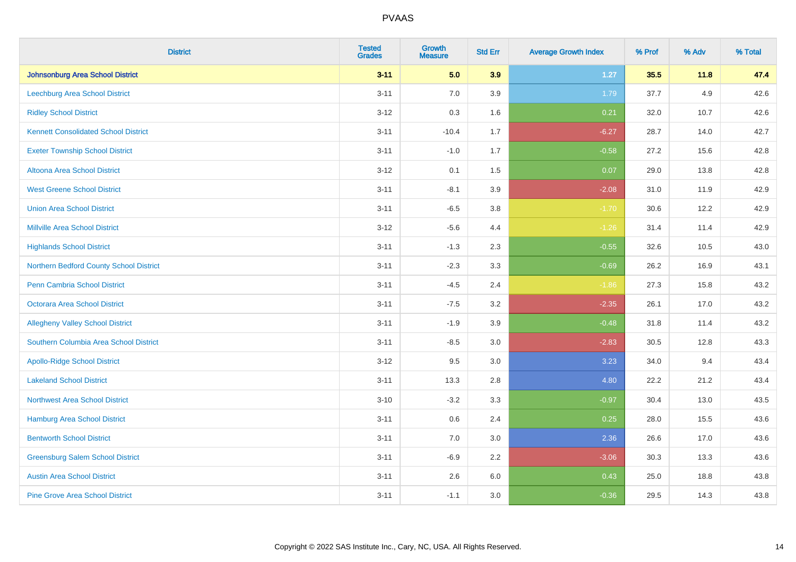| <b>District</b>                             | <b>Tested</b><br><b>Grades</b> | Growth<br><b>Measure</b> | <b>Std Err</b> | <b>Average Growth Index</b> | % Prof | % Adv | % Total |
|---------------------------------------------|--------------------------------|--------------------------|----------------|-----------------------------|--------|-------|---------|
| <b>Johnsonburg Area School District</b>     | $3 - 11$                       | 5.0                      | 3.9            | $1.27$                      | 35.5   | 11.8  | 47.4    |
| Leechburg Area School District              | $3 - 11$                       | 7.0                      | 3.9            | 1.79                        | 37.7   | 4.9   | 42.6    |
| <b>Ridley School District</b>               | $3 - 12$                       | 0.3                      | 1.6            | 0.21                        | 32.0   | 10.7  | 42.6    |
| <b>Kennett Consolidated School District</b> | $3 - 11$                       | $-10.4$                  | 1.7            | $-6.27$                     | 28.7   | 14.0  | 42.7    |
| <b>Exeter Township School District</b>      | $3 - 11$                       | $-1.0$                   | 1.7            | $-0.58$                     | 27.2   | 15.6  | 42.8    |
| <b>Altoona Area School District</b>         | $3 - 12$                       | 0.1                      | 1.5            | 0.07                        | 29.0   | 13.8  | 42.8    |
| <b>West Greene School District</b>          | $3 - 11$                       | $-8.1$                   | 3.9            | $-2.08$                     | 31.0   | 11.9  | 42.9    |
| <b>Union Area School District</b>           | $3 - 11$                       | $-6.5$                   | 3.8            | $-1.70$                     | 30.6   | 12.2  | 42.9    |
| <b>Millville Area School District</b>       | $3 - 12$                       | $-5.6$                   | 4.4            | $-1.26$                     | 31.4   | 11.4  | 42.9    |
| <b>Highlands School District</b>            | $3 - 11$                       | $-1.3$                   | 2.3            | $-0.55$                     | 32.6   | 10.5  | 43.0    |
| Northern Bedford County School District     | $3 - 11$                       | $-2.3$                   | 3.3            | $-0.69$                     | 26.2   | 16.9  | 43.1    |
| <b>Penn Cambria School District</b>         | $3 - 11$                       | $-4.5$                   | 2.4            | $-1.86$                     | 27.3   | 15.8  | 43.2    |
| <b>Octorara Area School District</b>        | $3 - 11$                       | $-7.5$                   | 3.2            | $-2.35$                     | 26.1   | 17.0  | 43.2    |
| <b>Allegheny Valley School District</b>     | $3 - 11$                       | $-1.9$                   | 3.9            | $-0.48$                     | 31.8   | 11.4  | 43.2    |
| Southern Columbia Area School District      | $3 - 11$                       | $-8.5$                   | 3.0            | $-2.83$                     | 30.5   | 12.8  | 43.3    |
| <b>Apollo-Ridge School District</b>         | $3 - 12$                       | 9.5                      | 3.0            | 3.23                        | 34.0   | 9.4   | 43.4    |
| <b>Lakeland School District</b>             | $3 - 11$                       | 13.3                     | 2.8            | 4.80                        | 22.2   | 21.2  | 43.4    |
| <b>Northwest Area School District</b>       | $3 - 10$                       | $-3.2$                   | 3.3            | $-0.97$                     | 30.4   | 13.0  | 43.5    |
| <b>Hamburg Area School District</b>         | $3 - 11$                       | 0.6                      | 2.4            | 0.25                        | 28.0   | 15.5  | 43.6    |
| <b>Bentworth School District</b>            | $3 - 11$                       | 7.0                      | 3.0            | 2.36                        | 26.6   | 17.0  | 43.6    |
| <b>Greensburg Salem School District</b>     | $3 - 11$                       | $-6.9$                   | 2.2            | $-3.06$                     | 30.3   | 13.3  | 43.6    |
| <b>Austin Area School District</b>          | $3 - 11$                       | 2.6                      | 6.0            | 0.43                        | 25.0   | 18.8  | 43.8    |
| <b>Pine Grove Area School District</b>      | $3 - 11$                       | $-1.1$                   | 3.0            | $-0.36$                     | 29.5   | 14.3  | 43.8    |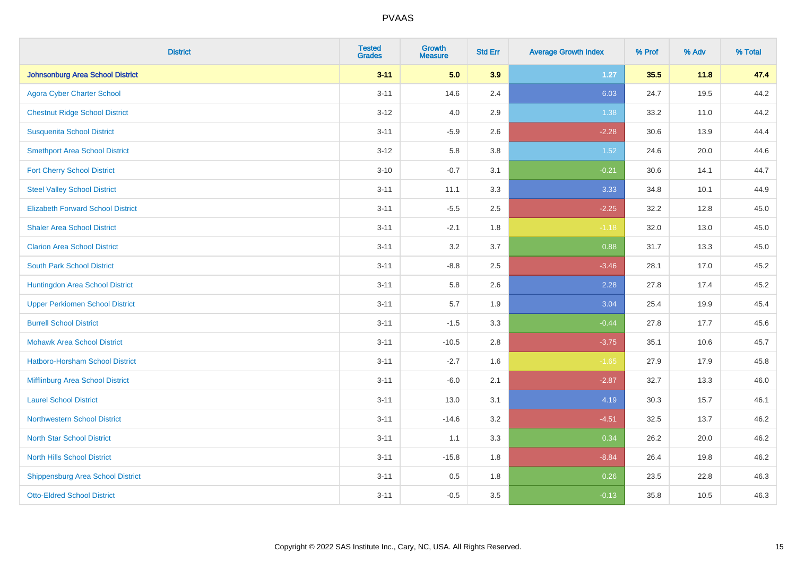| <b>District</b>                          | <b>Tested</b><br><b>Grades</b> | Growth<br><b>Measure</b> | <b>Std Err</b> | <b>Average Growth Index</b> | % Prof | % Adv | % Total |
|------------------------------------------|--------------------------------|--------------------------|----------------|-----------------------------|--------|-------|---------|
| <b>Johnsonburg Area School District</b>  | $3 - 11$                       | 5.0                      | 3.9            | 1.27                        | 35.5   | 11.8  | 47.4    |
| <b>Agora Cyber Charter School</b>        | $3 - 11$                       | 14.6                     | 2.4            | 6.03                        | 24.7   | 19.5  | 44.2    |
| <b>Chestnut Ridge School District</b>    | $3 - 12$                       | 4.0                      | 2.9            | 1.38                        | 33.2   | 11.0  | 44.2    |
| <b>Susquenita School District</b>        | $3 - 11$                       | $-5.9$                   | 2.6            | $-2.28$                     | 30.6   | 13.9  | 44.4    |
| <b>Smethport Area School District</b>    | $3 - 12$                       | 5.8                      | 3.8            | 1.52                        | 24.6   | 20.0  | 44.6    |
| <b>Fort Cherry School District</b>       | $3 - 10$                       | $-0.7$                   | 3.1            | $-0.21$                     | 30.6   | 14.1  | 44.7    |
| <b>Steel Valley School District</b>      | $3 - 11$                       | 11.1                     | 3.3            | 3.33                        | 34.8   | 10.1  | 44.9    |
| <b>Elizabeth Forward School District</b> | $3 - 11$                       | $-5.5$                   | 2.5            | $-2.25$                     | 32.2   | 12.8  | 45.0    |
| <b>Shaler Area School District</b>       | $3 - 11$                       | $-2.1$                   | 1.8            | $-1.18$                     | 32.0   | 13.0  | 45.0    |
| <b>Clarion Area School District</b>      | $3 - 11$                       | 3.2                      | 3.7            | 0.88                        | 31.7   | 13.3  | 45.0    |
| <b>South Park School District</b>        | $3 - 11$                       | $-8.8$                   | 2.5            | $-3.46$                     | 28.1   | 17.0  | 45.2    |
| Huntingdon Area School District          | $3 - 11$                       | 5.8                      | 2.6            | 2.28                        | 27.8   | 17.4  | 45.2    |
| <b>Upper Perkiomen School District</b>   | $3 - 11$                       | 5.7                      | 1.9            | 3.04                        | 25.4   | 19.9  | 45.4    |
| <b>Burrell School District</b>           | $3 - 11$                       | $-1.5$                   | 3.3            | $-0.44$                     | 27.8   | 17.7  | 45.6    |
| <b>Mohawk Area School District</b>       | $3 - 11$                       | $-10.5$                  | 2.8            | $-3.75$                     | 35.1   | 10.6  | 45.7    |
| Hatboro-Horsham School District          | $3 - 11$                       | $-2.7$                   | 1.6            | $-1.65$                     | 27.9   | 17.9  | 45.8    |
| Mifflinburg Area School District         | $3 - 11$                       | $-6.0$                   | 2.1            | $-2.87$                     | 32.7   | 13.3  | 46.0    |
| <b>Laurel School District</b>            | $3 - 11$                       | 13.0                     | 3.1            | 4.19                        | 30.3   | 15.7  | 46.1    |
| Northwestern School District             | $3 - 11$                       | $-14.6$                  | 3.2            | $-4.51$                     | 32.5   | 13.7  | 46.2    |
| <b>North Star School District</b>        | $3 - 11$                       | 1.1                      | 3.3            | 0.34                        | 26.2   | 20.0  | 46.2    |
| <b>North Hills School District</b>       | $3 - 11$                       | $-15.8$                  | 1.8            | $-8.84$                     | 26.4   | 19.8  | 46.2    |
| <b>Shippensburg Area School District</b> | $3 - 11$                       | 0.5                      | 1.8            | 0.26                        | 23.5   | 22.8  | 46.3    |
| <b>Otto-Eldred School District</b>       | $3 - 11$                       | $-0.5$                   | 3.5            | $-0.13$                     | 35.8   | 10.5  | 46.3    |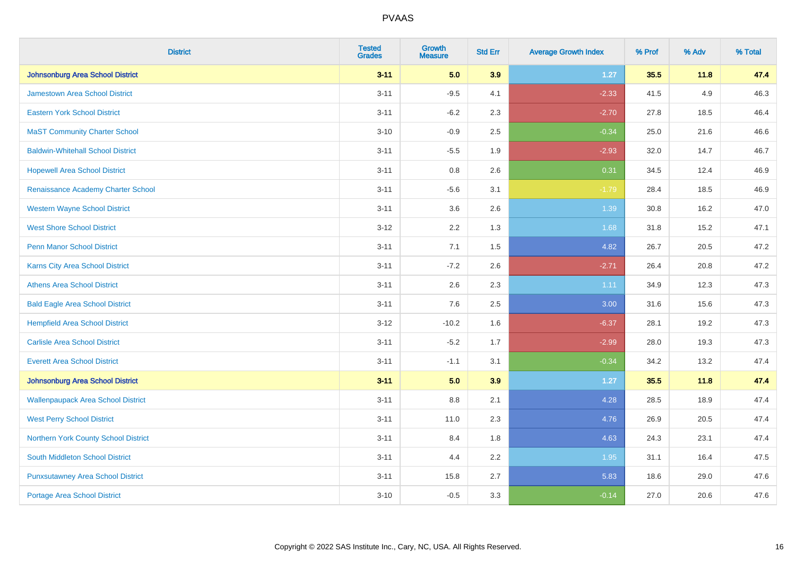| <b>District</b>                           | <b>Tested</b><br><b>Grades</b> | <b>Growth</b><br><b>Measure</b> | <b>Std Err</b> | <b>Average Growth Index</b> | % Prof | % Adv | % Total |
|-------------------------------------------|--------------------------------|---------------------------------|----------------|-----------------------------|--------|-------|---------|
| <b>Johnsonburg Area School District</b>   | $3 - 11$                       | 5.0                             | 3.9            | $1.27$                      | 35.5   | 11.8  | 47.4    |
| <b>Jamestown Area School District</b>     | $3 - 11$                       | $-9.5$                          | 4.1            | $-2.33$                     | 41.5   | 4.9   | 46.3    |
| <b>Eastern York School District</b>       | $3 - 11$                       | $-6.2$                          | 2.3            | $-2.70$                     | 27.8   | 18.5  | 46.4    |
| <b>MaST Community Charter School</b>      | $3 - 10$                       | $-0.9$                          | 2.5            | $-0.34$                     | 25.0   | 21.6  | 46.6    |
| <b>Baldwin-Whitehall School District</b>  | $3 - 11$                       | $-5.5$                          | 1.9            | $-2.93$                     | 32.0   | 14.7  | 46.7    |
| <b>Hopewell Area School District</b>      | $3 - 11$                       | 0.8                             | 2.6            | 0.31                        | 34.5   | 12.4  | 46.9    |
| Renaissance Academy Charter School        | $3 - 11$                       | $-5.6$                          | 3.1            | $-1.79$                     | 28.4   | 18.5  | 46.9    |
| <b>Western Wayne School District</b>      | $3 - 11$                       | 3.6                             | 2.6            | 1.39                        | 30.8   | 16.2  | 47.0    |
| <b>West Shore School District</b>         | $3 - 12$                       | 2.2                             | 1.3            | 1.68                        | 31.8   | 15.2  | 47.1    |
| <b>Penn Manor School District</b>         | $3 - 11$                       | 7.1                             | 1.5            | 4.82                        | 26.7   | 20.5  | 47.2    |
| <b>Karns City Area School District</b>    | $3 - 11$                       | $-7.2$                          | 2.6            | $-2.71$                     | 26.4   | 20.8  | 47.2    |
| <b>Athens Area School District</b>        | $3 - 11$                       | 2.6                             | 2.3            | 1.11                        | 34.9   | 12.3  | 47.3    |
| <b>Bald Eagle Area School District</b>    | $3 - 11$                       | 7.6                             | 2.5            | 3.00                        | 31.6   | 15.6  | 47.3    |
| <b>Hempfield Area School District</b>     | $3-12$                         | $-10.2$                         | 1.6            | $-6.37$                     | 28.1   | 19.2  | 47.3    |
| <b>Carlisle Area School District</b>      | $3 - 11$                       | $-5.2$                          | 1.7            | $-2.99$                     | 28.0   | 19.3  | 47.3    |
| <b>Everett Area School District</b>       | $3 - 11$                       | $-1.1$                          | 3.1            | $-0.34$                     | 34.2   | 13.2  | 47.4    |
| <b>Johnsonburg Area School District</b>   | $3 - 11$                       | 5.0                             | 3.9            | 1.27                        | 35.5   | 11.8  | 47.4    |
| <b>Wallenpaupack Area School District</b> | $3 - 11$                       | 8.8                             | 2.1            | 4.28                        | 28.5   | 18.9  | 47.4    |
| <b>West Perry School District</b>         | $3 - 11$                       | 11.0                            | 2.3            | 4.76                        | 26.9   | 20.5  | 47.4    |
| Northern York County School District      | $3 - 11$                       | 8.4                             | 1.8            | 4.63                        | 24.3   | 23.1  | 47.4    |
| South Middleton School District           | $3 - 11$                       | 4.4                             | 2.2            | 1.95                        | 31.1   | 16.4  | 47.5    |
| <b>Punxsutawney Area School District</b>  | $3 - 11$                       | 15.8                            | 2.7            | 5.83                        | 18.6   | 29.0  | 47.6    |
| <b>Portage Area School District</b>       | $3 - 10$                       | $-0.5$                          | 3.3            | $-0.14$                     | 27.0   | 20.6  | 47.6    |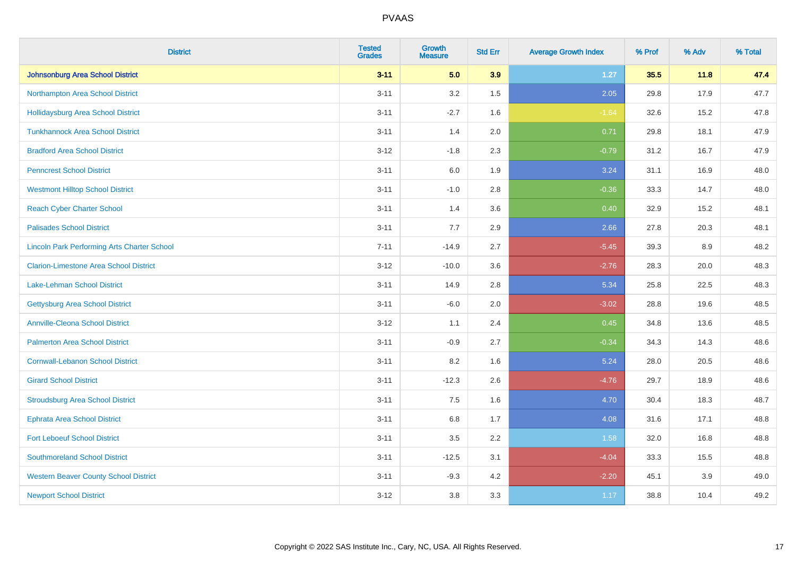| <b>District</b>                                    | <b>Tested</b><br><b>Grades</b> | <b>Growth</b><br><b>Measure</b> | <b>Std Err</b> | <b>Average Growth Index</b> | % Prof | % Adv | % Total |
|----------------------------------------------------|--------------------------------|---------------------------------|----------------|-----------------------------|--------|-------|---------|
| Johnsonburg Area School District                   | $3 - 11$                       | 5.0                             | 3.9            | $1.27$                      | 35.5   | 11.8  | 47.4    |
| Northampton Area School District                   | $3 - 11$                       | 3.2                             | 1.5            | 2.05                        | 29.8   | 17.9  | 47.7    |
| <b>Hollidaysburg Area School District</b>          | $3 - 11$                       | $-2.7$                          | 1.6            | $-1.64$                     | 32.6   | 15.2  | 47.8    |
| <b>Tunkhannock Area School District</b>            | $3 - 11$                       | 1.4                             | 2.0            | 0.71                        | 29.8   | 18.1  | 47.9    |
| <b>Bradford Area School District</b>               | $3 - 12$                       | $-1.8$                          | 2.3            | $-0.79$                     | 31.2   | 16.7  | 47.9    |
| <b>Penncrest School District</b>                   | $3 - 11$                       | 6.0                             | 1.9            | 3.24                        | 31.1   | 16.9  | 48.0    |
| <b>Westmont Hilltop School District</b>            | $3 - 11$                       | $-1.0$                          | 2.8            | $-0.36$                     | 33.3   | 14.7  | 48.0    |
| <b>Reach Cyber Charter School</b>                  | $3 - 11$                       | 1.4                             | 3.6            | 0.40                        | 32.9   | 15.2  | 48.1    |
| <b>Palisades School District</b>                   | $3 - 11$                       | 7.7                             | 2.9            | 2.66                        | 27.8   | 20.3  | 48.1    |
| <b>Lincoln Park Performing Arts Charter School</b> | $7 - 11$                       | $-14.9$                         | 2.7            | $-5.45$                     | 39.3   | 8.9   | 48.2    |
| <b>Clarion-Limestone Area School District</b>      | $3 - 12$                       | $-10.0$                         | 3.6            | $-2.76$                     | 28.3   | 20.0  | 48.3    |
| <b>Lake-Lehman School District</b>                 | $3 - 11$                       | 14.9                            | 2.8            | 5.34                        | 25.8   | 22.5  | 48.3    |
| <b>Gettysburg Area School District</b>             | $3 - 11$                       | $-6.0$                          | 2.0            | $-3.02$                     | 28.8   | 19.6  | 48.5    |
| <b>Annville-Cleona School District</b>             | $3 - 12$                       | 1.1                             | 2.4            | 0.45                        | 34.8   | 13.6  | 48.5    |
| <b>Palmerton Area School District</b>              | $3 - 11$                       | $-0.9$                          | 2.7            | $-0.34$                     | 34.3   | 14.3  | 48.6    |
| <b>Cornwall-Lebanon School District</b>            | $3 - 11$                       | 8.2                             | 1.6            | 5.24                        | 28.0   | 20.5  | 48.6    |
| <b>Girard School District</b>                      | $3 - 11$                       | $-12.3$                         | 2.6            | $-4.76$                     | 29.7   | 18.9  | 48.6    |
| <b>Stroudsburg Area School District</b>            | $3 - 11$                       | 7.5                             | 1.6            | 4.70                        | 30.4   | 18.3  | 48.7    |
| <b>Ephrata Area School District</b>                | $3 - 11$                       | $6.8\,$                         | 1.7            | 4.08                        | 31.6   | 17.1  | 48.8    |
| <b>Fort Leboeuf School District</b>                | $3 - 11$                       | 3.5                             | 2.2            | 1.58                        | 32.0   | 16.8  | 48.8    |
| <b>Southmoreland School District</b>               | $3 - 11$                       | $-12.5$                         | 3.1            | $-4.04$                     | 33.3   | 15.5  | 48.8    |
| <b>Western Beaver County School District</b>       | $3 - 11$                       | $-9.3$                          | 4.2            | $-2.20$                     | 45.1   | 3.9   | 49.0    |
| <b>Newport School District</b>                     | $3 - 12$                       | 3.8                             | 3.3            | 1.17                        | 38.8   | 10.4  | 49.2    |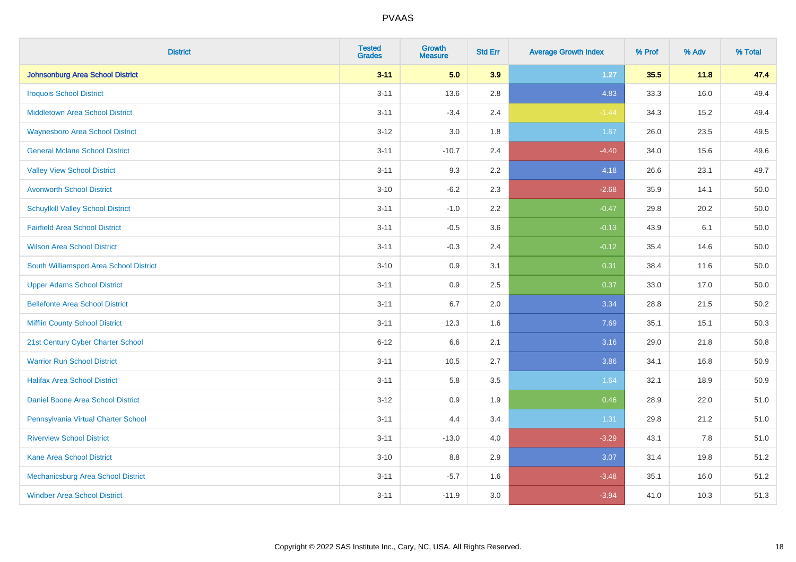| <b>District</b>                          | <b>Tested</b><br><b>Grades</b> | <b>Growth</b><br><b>Measure</b> | <b>Std Err</b> | <b>Average Growth Index</b> | % Prof | % Adv | % Total |
|------------------------------------------|--------------------------------|---------------------------------|----------------|-----------------------------|--------|-------|---------|
| <b>Johnsonburg Area School District</b>  | $3 - 11$                       | 5.0                             | 3.9            | $1.27$                      | 35.5   | 11.8  | 47.4    |
| <b>Iroquois School District</b>          | $3 - 11$                       | 13.6                            | 2.8            | 4.83                        | 33.3   | 16.0  | 49.4    |
| <b>Middletown Area School District</b>   | $3 - 11$                       | $-3.4$                          | 2.4            | $-1.44$                     | 34.3   | 15.2  | 49.4    |
| <b>Waynesboro Area School District</b>   | $3 - 12$                       | 3.0                             | 1.8            | 1.67                        | 26.0   | 23.5  | 49.5    |
| <b>General Mclane School District</b>    | $3 - 11$                       | $-10.7$                         | 2.4            | $-4.40$                     | 34.0   | 15.6  | 49.6    |
| <b>Valley View School District</b>       | $3 - 11$                       | 9.3                             | 2.2            | 4.18                        | 26.6   | 23.1  | 49.7    |
| <b>Avonworth School District</b>         | $3 - 10$                       | $-6.2$                          | 2.3            | $-2.68$                     | 35.9   | 14.1  | 50.0    |
| <b>Schuylkill Valley School District</b> | $3 - 11$                       | $-1.0$                          | 2.2            | $-0.47$                     | 29.8   | 20.2  | 50.0    |
| <b>Fairfield Area School District</b>    | $3 - 11$                       | $-0.5$                          | 3.6            | $-0.13$                     | 43.9   | 6.1   | 50.0    |
| <b>Wilson Area School District</b>       | $3 - 11$                       | $-0.3$                          | 2.4            | $-0.12$                     | 35.4   | 14.6  | 50.0    |
| South Williamsport Area School District  | $3 - 10$                       | 0.9                             | 3.1            | 0.31                        | 38.4   | 11.6  | 50.0    |
| <b>Upper Adams School District</b>       | $3 - 11$                       | 0.9                             | 2.5            | 0.37                        | 33.0   | 17.0  | 50.0    |
| <b>Bellefonte Area School District</b>   | $3 - 11$                       | 6.7                             | 2.0            | 3.34                        | 28.8   | 21.5  | 50.2    |
| <b>Mifflin County School District</b>    | $3 - 11$                       | 12.3                            | 1.6            | 7.69                        | 35.1   | 15.1  | 50.3    |
| 21st Century Cyber Charter School        | $6 - 12$                       | 6.6                             | 2.1            | 3.16                        | 29.0   | 21.8  | 50.8    |
| <b>Warrior Run School District</b>       | $3 - 11$                       | 10.5                            | 2.7            | 3.86                        | 34.1   | 16.8  | 50.9    |
| <b>Halifax Area School District</b>      | $3 - 11$                       | 5.8                             | 3.5            | 1.64                        | 32.1   | 18.9  | 50.9    |
| Daniel Boone Area School District        | $3 - 12$                       | 0.9                             | 1.9            | 0.46                        | 28.9   | 22.0  | 51.0    |
| Pennsylvania Virtual Charter School      | $3 - 11$                       | 4.4                             | 3.4            | 1.31                        | 29.8   | 21.2  | 51.0    |
| <b>Riverview School District</b>         | $3 - 11$                       | $-13.0$                         | 4.0            | $-3.29$                     | 43.1   | 7.8   | 51.0    |
| Kane Area School District                | $3 - 10$                       | 8.8                             | 2.9            | 3.07                        | 31.4   | 19.8  | 51.2    |
| Mechanicsburg Area School District       | $3 - 11$                       | $-5.7$                          | 1.6            | $-3.48$                     | 35.1   | 16.0  | 51.2    |
| <b>Windber Area School District</b>      | $3 - 11$                       | $-11.9$                         | 3.0            | $-3.94$                     | 41.0   | 10.3  | 51.3    |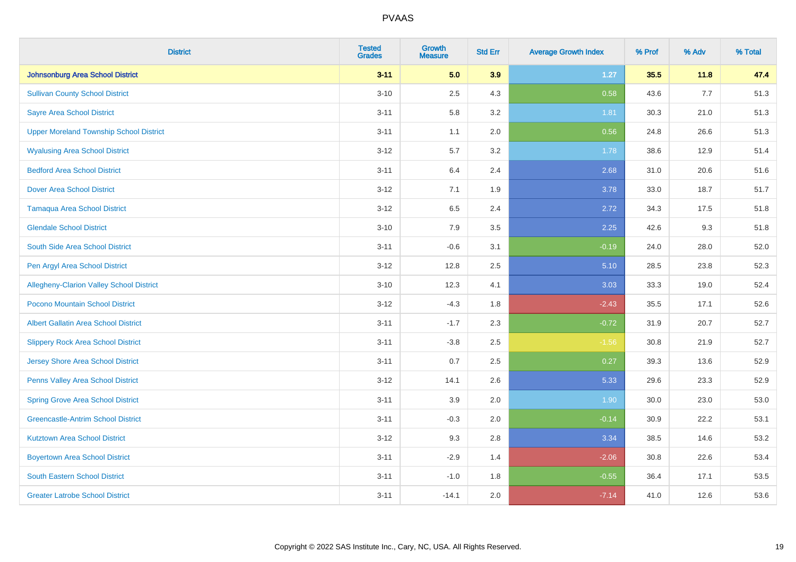| <b>District</b>                                 | <b>Tested</b><br><b>Grades</b> | <b>Growth</b><br><b>Measure</b> | <b>Std Err</b> | <b>Average Growth Index</b> | % Prof | % Adv | % Total |
|-------------------------------------------------|--------------------------------|---------------------------------|----------------|-----------------------------|--------|-------|---------|
| <b>Johnsonburg Area School District</b>         | $3 - 11$                       | 5.0                             | 3.9            | $1.27$                      | 35.5   | 11.8  | 47.4    |
| <b>Sullivan County School District</b>          | $3 - 10$                       | 2.5                             | 4.3            | 0.58                        | 43.6   | $7.7$ | 51.3    |
| <b>Sayre Area School District</b>               | $3 - 11$                       | 5.8                             | 3.2            | 1.81                        | 30.3   | 21.0  | 51.3    |
| <b>Upper Moreland Township School District</b>  | $3 - 11$                       | 1.1                             | 2.0            | 0.56                        | 24.8   | 26.6  | 51.3    |
| <b>Wyalusing Area School District</b>           | $3-12$                         | 5.7                             | 3.2            | 1.78                        | 38.6   | 12.9  | 51.4    |
| <b>Bedford Area School District</b>             | $3 - 11$                       | 6.4                             | 2.4            | 2.68                        | 31.0   | 20.6  | 51.6    |
| <b>Dover Area School District</b>               | $3 - 12$                       | 7.1                             | 1.9            | 3.78                        | 33.0   | 18.7  | 51.7    |
| <b>Tamaqua Area School District</b>             | $3 - 12$                       | 6.5                             | 2.4            | 2.72                        | 34.3   | 17.5  | 51.8    |
| <b>Glendale School District</b>                 | $3 - 10$                       | 7.9                             | 3.5            | 2.25                        | 42.6   | 9.3   | 51.8    |
| South Side Area School District                 | $3 - 11$                       | $-0.6$                          | 3.1            | $-0.19$                     | 24.0   | 28.0  | 52.0    |
| Pen Argyl Area School District                  | $3 - 12$                       | 12.8                            | 2.5            | 5.10                        | 28.5   | 23.8  | 52.3    |
| <b>Allegheny-Clarion Valley School District</b> | $3 - 10$                       | 12.3                            | 4.1            | 3.03                        | 33.3   | 19.0  | 52.4    |
| Pocono Mountain School District                 | $3-12$                         | $-4.3$                          | 1.8            | $-2.43$                     | 35.5   | 17.1  | 52.6    |
| <b>Albert Gallatin Area School District</b>     | $3 - 11$                       | $-1.7$                          | 2.3            | $-0.72$                     | 31.9   | 20.7  | 52.7    |
| <b>Slippery Rock Area School District</b>       | $3 - 11$                       | $-3.8$                          | 2.5            | $-1.56$                     | 30.8   | 21.9  | 52.7    |
| <b>Jersey Shore Area School District</b>        | $3 - 11$                       | 0.7                             | 2.5            | 0.27                        | 39.3   | 13.6  | 52.9    |
| Penns Valley Area School District               | $3 - 12$                       | 14.1                            | 2.6            | 5.33                        | 29.6   | 23.3  | 52.9    |
| <b>Spring Grove Area School District</b>        | $3 - 11$                       | 3.9                             | 2.0            | 1.90                        | 30.0   | 23.0  | 53.0    |
| <b>Greencastle-Antrim School District</b>       | $3 - 11$                       | $-0.3$                          | 2.0            | $-0.14$                     | 30.9   | 22.2  | 53.1    |
| <b>Kutztown Area School District</b>            | $3 - 12$                       | 9.3                             | 2.8            | 3.34                        | 38.5   | 14.6  | 53.2    |
| <b>Boyertown Area School District</b>           | $3 - 11$                       | $-2.9$                          | 1.4            | $-2.06$                     | 30.8   | 22.6  | 53.4    |
| <b>South Eastern School District</b>            | $3 - 11$                       | $-1.0$                          | 1.8            | $-0.55$                     | 36.4   | 17.1  | 53.5    |
| <b>Greater Latrobe School District</b>          | $3 - 11$                       | $-14.1$                         | 2.0            | $-7.14$                     | 41.0   | 12.6  | 53.6    |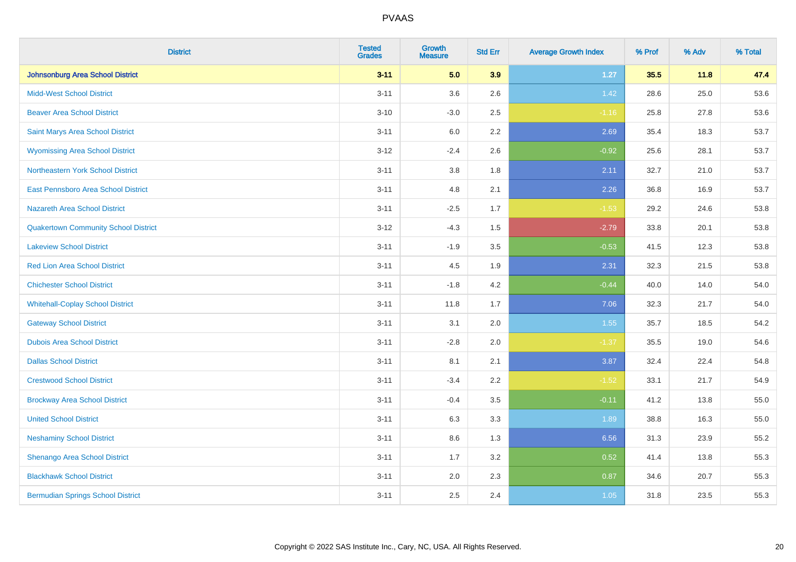| <b>District</b>                             | <b>Tested</b><br><b>Grades</b> | <b>Growth</b><br><b>Measure</b> | <b>Std Err</b> | <b>Average Growth Index</b> | % Prof | % Adv | % Total |
|---------------------------------------------|--------------------------------|---------------------------------|----------------|-----------------------------|--------|-------|---------|
| Johnsonburg Area School District            | $3 - 11$                       | 5.0                             | 3.9            | 1.27                        | 35.5   | 11.8  | 47.4    |
| <b>Midd-West School District</b>            | $3 - 11$                       | 3.6                             | 2.6            | 1.42                        | 28.6   | 25.0  | 53.6    |
| <b>Beaver Area School District</b>          | $3 - 10$                       | $-3.0$                          | 2.5            | $-1.16$                     | 25.8   | 27.8  | 53.6    |
| Saint Marys Area School District            | $3 - 11$                       | 6.0                             | 2.2            | 2.69                        | 35.4   | 18.3  | 53.7    |
| <b>Wyomissing Area School District</b>      | $3 - 12$                       | $-2.4$                          | 2.6            | $-0.92$                     | 25.6   | 28.1  | 53.7    |
| Northeastern York School District           | $3 - 11$                       | $3.8\,$                         | 1.8            | 2.11                        | 32.7   | 21.0  | 53.7    |
| East Pennsboro Area School District         | $3 - 11$                       | 4.8                             | 2.1            | 2.26                        | 36.8   | 16.9  | 53.7    |
| <b>Nazareth Area School District</b>        | $3 - 11$                       | $-2.5$                          | 1.7            | $-1.53$                     | 29.2   | 24.6  | 53.8    |
| <b>Quakertown Community School District</b> | $3 - 12$                       | $-4.3$                          | 1.5            | $-2.79$                     | 33.8   | 20.1  | 53.8    |
| <b>Lakeview School District</b>             | $3 - 11$                       | $-1.9$                          | 3.5            | $-0.53$                     | 41.5   | 12.3  | 53.8    |
| <b>Red Lion Area School District</b>        | $3 - 11$                       | 4.5                             | 1.9            | 2.31                        | 32.3   | 21.5  | 53.8    |
| <b>Chichester School District</b>           | $3 - 11$                       | $-1.8$                          | 4.2            | $-0.44$                     | 40.0   | 14.0  | 54.0    |
| <b>Whitehall-Coplay School District</b>     | $3 - 11$                       | 11.8                            | 1.7            | 7.06                        | 32.3   | 21.7  | 54.0    |
| <b>Gateway School District</b>              | $3 - 11$                       | 3.1                             | 2.0            | 1.55                        | 35.7   | 18.5  | 54.2    |
| <b>Dubois Area School District</b>          | $3 - 11$                       | $-2.8$                          | 2.0            | $-1.37$                     | 35.5   | 19.0  | 54.6    |
| <b>Dallas School District</b>               | $3 - 11$                       | 8.1                             | 2.1            | 3.87                        | 32.4   | 22.4  | 54.8    |
| <b>Crestwood School District</b>            | $3 - 11$                       | $-3.4$                          | 2.2            | $-1.52$                     | 33.1   | 21.7  | 54.9    |
| <b>Brockway Area School District</b>        | $3 - 11$                       | $-0.4$                          | 3.5            | $-0.11$                     | 41.2   | 13.8  | 55.0    |
| <b>United School District</b>               | $3 - 11$                       | 6.3                             | 3.3            | 1.89                        | 38.8   | 16.3  | 55.0    |
| <b>Neshaminy School District</b>            | $3 - 11$                       | 8.6                             | 1.3            | 6.56                        | 31.3   | 23.9  | 55.2    |
| Shenango Area School District               | $3 - 11$                       | 1.7                             | 3.2            | 0.52                        | 41.4   | 13.8  | 55.3    |
| <b>Blackhawk School District</b>            | $3 - 11$                       | 2.0                             | 2.3            | 0.87                        | 34.6   | 20.7  | 55.3    |
| <b>Bermudian Springs School District</b>    | $3 - 11$                       | 2.5                             | 2.4            | 1.05                        | 31.8   | 23.5  | 55.3    |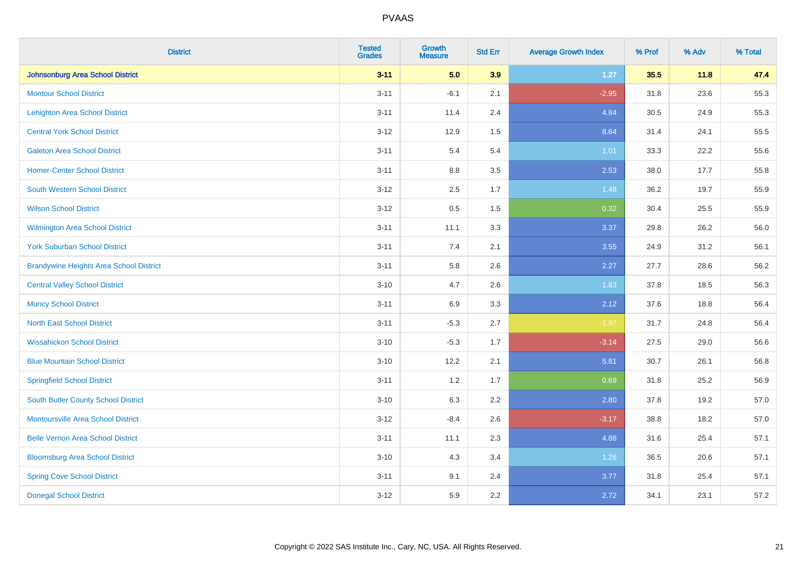| <b>District</b>                                | <b>Tested</b><br><b>Grades</b> | <b>Growth</b><br><b>Measure</b> | <b>Std Err</b> | <b>Average Growth Index</b> | % Prof | % Adv | % Total |
|------------------------------------------------|--------------------------------|---------------------------------|----------------|-----------------------------|--------|-------|---------|
| Johnsonburg Area School District               | $3 - 11$                       | 5.0                             | 3.9            | $1.27$                      | 35.5   | 11.8  | 47.4    |
| <b>Montour School District</b>                 | $3 - 11$                       | $-6.1$                          | 2.1            | $-2.95$                     | 31.8   | 23.6  | 55.3    |
| <b>Lehighton Area School District</b>          | $3 - 11$                       | 11.4                            | 2.4            | 4.84                        | 30.5   | 24.9  | 55.3    |
| <b>Central York School District</b>            | $3 - 12$                       | 12.9                            | 1.5            | 8.64                        | 31.4   | 24.1  | 55.5    |
| <b>Galeton Area School District</b>            | $3 - 11$                       | 5.4                             | 5.4            | 1.01                        | 33.3   | 22.2  | 55.6    |
| <b>Homer-Center School District</b>            | $3 - 11$                       | 8.8                             | 3.5            | 2.53                        | 38.0   | 17.7  | 55.8    |
| <b>South Western School District</b>           | $3 - 12$                       | 2.5                             | 1.7            | 1.48                        | 36.2   | 19.7  | 55.9    |
| <b>Wilson School District</b>                  | $3 - 12$                       | 0.5                             | 1.5            | 0.32                        | 30.4   | 25.5  | 55.9    |
| Wilmington Area School District                | $3 - 11$                       | 11.1                            | 3.3            | 3.37                        | 29.8   | 26.2  | 56.0    |
| <b>York Suburban School District</b>           | $3 - 11$                       | 7.4                             | 2.1            | 3.55                        | 24.9   | 31.2  | 56.1    |
| <b>Brandywine Heights Area School District</b> | $3 - 11$                       | 5.8                             | 2.6            | 2.27                        | 27.7   | 28.6  | 56.2    |
| <b>Central Valley School District</b>          | $3 - 10$                       | 4.7                             | 2.6            | 1.83                        | 37.8   | 18.5  | 56.3    |
| <b>Muncy School District</b>                   | $3 - 11$                       | 6.9                             | 3.3            | 2.12                        | 37.6   | 18.8  | 56.4    |
| <b>North East School District</b>              | $3 - 11$                       | $-5.3$                          | 2.7            | $-1.97$                     | 31.7   | 24.8  | 56.4    |
| <b>Wissahickon School District</b>             | $3 - 10$                       | $-5.3$                          | 1.7            | $-3.14$                     | 27.5   | 29.0  | 56.6    |
| <b>Blue Mountain School District</b>           | $3 - 10$                       | 12.2                            | 2.1            | 5.81                        | 30.7   | 26.1  | 56.8    |
| <b>Springfield School District</b>             | $3 - 11$                       | 1.2                             | 1.7            | 0.69                        | 31.8   | 25.2  | 56.9    |
| <b>South Butler County School District</b>     | $3 - 10$                       | 6.3                             | 2.2            | 2.80                        | 37.8   | 19.2  | 57.0    |
| Montoursville Area School District             | $3 - 12$                       | $-8.4$                          | 2.6            | $-3.17$                     | 38.8   | 18.2  | 57.0    |
| <b>Belle Vernon Area School District</b>       | $3 - 11$                       | 11.1                            | 2.3            | 4.88                        | 31.6   | 25.4  | 57.1    |
| <b>Bloomsburg Area School District</b>         | $3 - 10$                       | 4.3                             | 3.4            | 1.26                        | 36.5   | 20.6  | 57.1    |
| <b>Spring Cove School District</b>             | $3 - 11$                       | 9.1                             | 2.4            | 3.77                        | 31.8   | 25.4  | 57.1    |
| <b>Donegal School District</b>                 | $3 - 12$                       | 5.9                             | 2.2            | 2.72                        | 34.1   | 23.1  | 57.2    |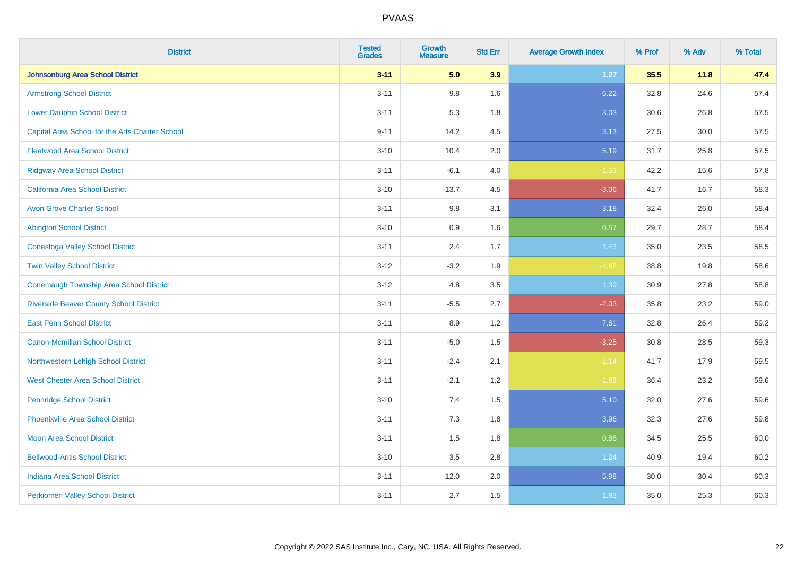| <b>District</b>                                 | <b>Tested</b><br><b>Grades</b> | <b>Growth</b><br><b>Measure</b> | <b>Std Err</b> | <b>Average Growth Index</b> | % Prof | % Adv | % Total |
|-------------------------------------------------|--------------------------------|---------------------------------|----------------|-----------------------------|--------|-------|---------|
| <b>Johnsonburg Area School District</b>         | $3 - 11$                       | 5.0                             | 3.9            | $1.27$                      | 35.5   | 11.8  | 47.4    |
| <b>Armstrong School District</b>                | $3 - 11$                       | 9.8                             | 1.6            | 6.22                        | 32.8   | 24.6  | 57.4    |
| <b>Lower Dauphin School District</b>            | $3 - 11$                       | 5.3                             | 1.8            | 3.03                        | 30.6   | 26.8  | 57.5    |
| Capital Area School for the Arts Charter School | $9 - 11$                       | 14.2                            | 4.5            | 3.13                        | 27.5   | 30.0  | 57.5    |
| <b>Fleetwood Area School District</b>           | $3 - 10$                       | 10.4                            | 2.0            | 5.19                        | 31.7   | 25.8  | 57.5    |
| <b>Ridgway Area School District</b>             | $3 - 11$                       | $-6.1$                          | 4.0            | $-1.53$                     | 42.2   | 15.6  | 57.8    |
| <b>California Area School District</b>          | $3 - 10$                       | $-13.7$                         | 4.5            | $-3.06$                     | 41.7   | 16.7  | 58.3    |
| <b>Avon Grove Charter School</b>                | $3 - 11$                       | 9.8                             | 3.1            | 3.18                        | 32.4   | 26.0  | 58.4    |
| <b>Abington School District</b>                 | $3 - 10$                       | 0.9                             | 1.6            | 0.57                        | 29.7   | 28.7  | 58.4    |
| <b>Conestoga Valley School District</b>         | $3 - 11$                       | 2.4                             | 1.7            | 1.43                        | 35.0   | 23.5  | 58.5    |
| <b>Twin Valley School District</b>              | $3 - 12$                       | $-3.2$                          | 1.9            | $-1.68$                     | 38.8   | 19.8  | 58.6    |
| <b>Conemaugh Township Area School District</b>  | $3 - 12$                       | 4.8                             | 3.5            | 1.39                        | 30.9   | 27.8  | 58.8    |
| <b>Riverside Beaver County School District</b>  | $3 - 11$                       | $-5.5$                          | 2.7            | $-2.03$                     | 35.8   | 23.2  | 59.0    |
| <b>East Penn School District</b>                | $3 - 11$                       | 8.9                             | 1.2            | 7.61                        | 32.8   | 26.4  | 59.2    |
| <b>Canon-Mcmillan School District</b>           | $3 - 11$                       | $-5.0$                          | 1.5            | $-3.25$                     | 30.8   | 28.5  | 59.3    |
| Northwestern Lehigh School District             | $3 - 11$                       | $-2.4$                          | 2.1            | $-1.14$                     | 41.7   | 17.9  | 59.5    |
| <b>West Chester Area School District</b>        | $3 - 11$                       | $-2.1$                          | 1.2            | $-1.83$                     | 36.4   | 23.2  | 59.6    |
| <b>Pennridge School District</b>                | $3 - 10$                       | 7.4                             | 1.5            | 5.10                        | 32.0   | 27.6  | 59.6    |
| <b>Phoenixville Area School District</b>        | $3 - 11$                       | 7.3                             | 1.8            | 3.96                        | 32.3   | 27.6  | 59.8    |
| <b>Moon Area School District</b>                | $3 - 11$                       | 1.5                             | 1.8            | 0.86                        | 34.5   | 25.5  | 60.0    |
| <b>Bellwood-Antis School District</b>           | $3 - 10$                       | 3.5                             | 2.8            | 1.24                        | 40.9   | 19.4  | 60.2    |
| <b>Indiana Area School District</b>             | $3 - 11$                       | 12.0                            | 2.0            | 5.98                        | 30.0   | 30.4  | 60.3    |
| <b>Perkiomen Valley School District</b>         | $3 - 11$                       | 2.7                             | 1.5            | 1.83                        | 35.0   | 25.3  | 60.3    |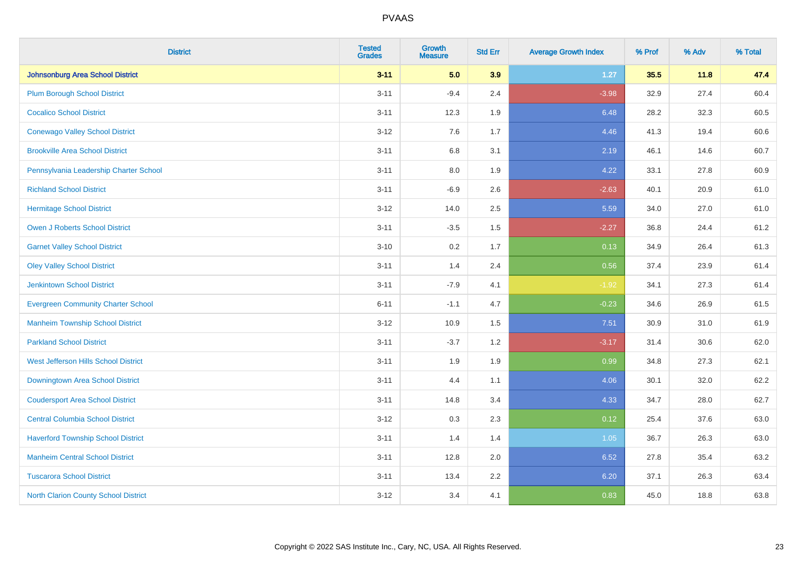| <b>District</b>                             | <b>Tested</b><br><b>Grades</b> | <b>Growth</b><br><b>Measure</b> | <b>Std Err</b> | <b>Average Growth Index</b> | % Prof | % Adv | % Total |
|---------------------------------------------|--------------------------------|---------------------------------|----------------|-----------------------------|--------|-------|---------|
| <b>Johnsonburg Area School District</b>     | $3 - 11$                       | 5.0                             | 3.9            | $1.27$                      | 35.5   | 11.8  | 47.4    |
| <b>Plum Borough School District</b>         | $3 - 11$                       | $-9.4$                          | 2.4            | $-3.98$                     | 32.9   | 27.4  | 60.4    |
| <b>Cocalico School District</b>             | $3 - 11$                       | 12.3                            | 1.9            | 6.48                        | 28.2   | 32.3  | 60.5    |
| <b>Conewago Valley School District</b>      | $3 - 12$                       | 7.6                             | 1.7            | 4.46                        | 41.3   | 19.4  | 60.6    |
| <b>Brookville Area School District</b>      | $3 - 11$                       | 6.8                             | 3.1            | 2.19                        | 46.1   | 14.6  | 60.7    |
| Pennsylvania Leadership Charter School      | $3 - 11$                       | $8.0\,$                         | 1.9            | 4.22                        | 33.1   | 27.8  | 60.9    |
| <b>Richland School District</b>             | $3 - 11$                       | $-6.9$                          | 2.6            | $-2.63$                     | 40.1   | 20.9  | 61.0    |
| <b>Hermitage School District</b>            | $3 - 12$                       | 14.0                            | 2.5            | 5.59                        | 34.0   | 27.0  | 61.0    |
| <b>Owen J Roberts School District</b>       | $3 - 11$                       | $-3.5$                          | 1.5            | $-2.27$                     | 36.8   | 24.4  | 61.2    |
| <b>Garnet Valley School District</b>        | $3 - 10$                       | 0.2                             | 1.7            | 0.13                        | 34.9   | 26.4  | 61.3    |
| <b>Oley Valley School District</b>          | $3 - 11$                       | 1.4                             | 2.4            | 0.56                        | 37.4   | 23.9  | 61.4    |
| <b>Jenkintown School District</b>           | $3 - 11$                       | $-7.9$                          | 4.1            | $-1.92$                     | 34.1   | 27.3  | 61.4    |
| <b>Evergreen Community Charter School</b>   | $6 - 11$                       | $-1.1$                          | 4.7            | $-0.23$                     | 34.6   | 26.9  | 61.5    |
| <b>Manheim Township School District</b>     | $3-12$                         | 10.9                            | 1.5            | 7.51                        | 30.9   | 31.0  | 61.9    |
| <b>Parkland School District</b>             | $3 - 11$                       | $-3.7$                          | 1.2            | $-3.17$                     | 31.4   | 30.6  | 62.0    |
| West Jefferson Hills School District        | $3 - 11$                       | 1.9                             | 1.9            | 0.99                        | 34.8   | 27.3  | 62.1    |
| Downingtown Area School District            | $3 - 11$                       | 4.4                             | 1.1            | 4.06                        | 30.1   | 32.0  | 62.2    |
| <b>Coudersport Area School District</b>     | $3 - 11$                       | 14.8                            | 3.4            | 4.33                        | 34.7   | 28.0  | 62.7    |
| <b>Central Columbia School District</b>     | $3 - 12$                       | 0.3                             | 2.3            | 0.12                        | 25.4   | 37.6  | 63.0    |
| <b>Haverford Township School District</b>   | $3 - 11$                       | 1.4                             | 1.4            | 1.05                        | 36.7   | 26.3  | 63.0    |
| <b>Manheim Central School District</b>      | $3 - 11$                       | 12.8                            | 2.0            | 6.52                        | 27.8   | 35.4  | 63.2    |
| <b>Tuscarora School District</b>            | $3 - 11$                       | 13.4                            | 2.2            | 6.20                        | 37.1   | 26.3  | 63.4    |
| <b>North Clarion County School District</b> | $3 - 12$                       | 3.4                             | 4.1            | 0.83                        | 45.0   | 18.8  | 63.8    |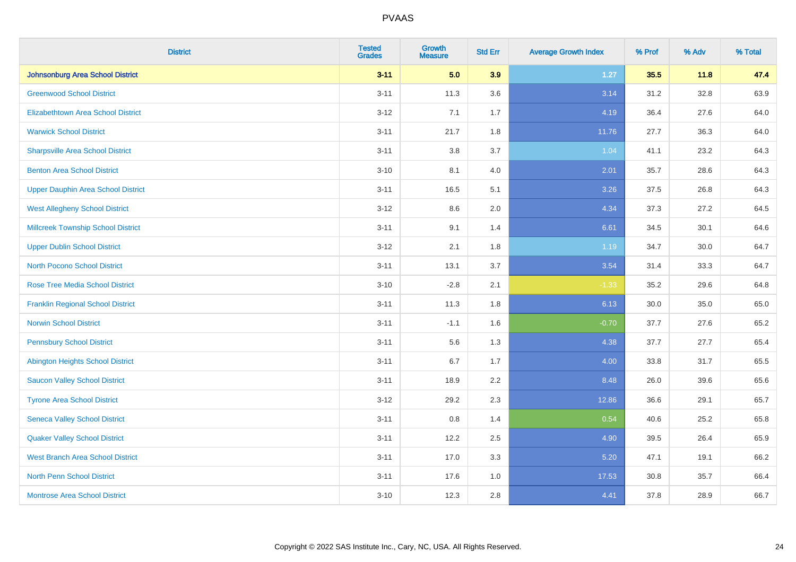| <b>District</b>                           | <b>Tested</b><br><b>Grades</b> | <b>Growth</b><br><b>Measure</b> | <b>Std Err</b> | <b>Average Growth Index</b> | % Prof | % Adv | % Total |
|-------------------------------------------|--------------------------------|---------------------------------|----------------|-----------------------------|--------|-------|---------|
| Johnsonburg Area School District          | $3 - 11$                       | 5.0                             | 3.9            | $1.27$                      | 35.5   | 11.8  | 47.4    |
| <b>Greenwood School District</b>          | $3 - 11$                       | 11.3                            | 3.6            | 3.14                        | 31.2   | 32.8  | 63.9    |
| <b>Elizabethtown Area School District</b> | $3 - 12$                       | 7.1                             | 1.7            | 4.19                        | 36.4   | 27.6  | 64.0    |
| <b>Warwick School District</b>            | $3 - 11$                       | 21.7                            | 1.8            | 11.76                       | 27.7   | 36.3  | 64.0    |
| <b>Sharpsville Area School District</b>   | $3 - 11$                       | 3.8                             | 3.7            | 1.04                        | 41.1   | 23.2  | 64.3    |
| <b>Benton Area School District</b>        | $3 - 10$                       | 8.1                             | 4.0            | 2.01                        | 35.7   | 28.6  | 64.3    |
| <b>Upper Dauphin Area School District</b> | $3 - 11$                       | 16.5                            | 5.1            | 3.26                        | 37.5   | 26.8  | 64.3    |
| <b>West Allegheny School District</b>     | $3 - 12$                       | 8.6                             | 2.0            | 4.34                        | 37.3   | 27.2  | 64.5    |
| <b>Millcreek Township School District</b> | $3 - 11$                       | 9.1                             | 1.4            | 6.61                        | 34.5   | 30.1  | 64.6    |
| <b>Upper Dublin School District</b>       | $3 - 12$                       | 2.1                             | 1.8            | 1.19                        | 34.7   | 30.0  | 64.7    |
| <b>North Pocono School District</b>       | $3 - 11$                       | 13.1                            | 3.7            | 3.54                        | 31.4   | 33.3  | 64.7    |
| <b>Rose Tree Media School District</b>    | $3 - 10$                       | $-2.8$                          | 2.1            | $-1.33$                     | 35.2   | 29.6  | 64.8    |
| <b>Franklin Regional School District</b>  | $3 - 11$                       | 11.3                            | 1.8            | 6.13                        | 30.0   | 35.0  | 65.0    |
| <b>Norwin School District</b>             | $3 - 11$                       | $-1.1$                          | 1.6            | $-0.70$                     | 37.7   | 27.6  | 65.2    |
| <b>Pennsbury School District</b>          | $3 - 11$                       | 5.6                             | 1.3            | 4.38                        | 37.7   | 27.7  | 65.4    |
| <b>Abington Heights School District</b>   | $3 - 11$                       | 6.7                             | 1.7            | 4.00                        | 33.8   | 31.7  | 65.5    |
| <b>Saucon Valley School District</b>      | $3 - 11$                       | 18.9                            | 2.2            | 8.48                        | 26.0   | 39.6  | 65.6    |
| <b>Tyrone Area School District</b>        | $3 - 12$                       | 29.2                            | 2.3            | 12.86                       | 36.6   | 29.1  | 65.7    |
| <b>Seneca Valley School District</b>      | $3 - 11$                       | $0.8\,$                         | 1.4            | 0.54                        | 40.6   | 25.2  | 65.8    |
| <b>Quaker Valley School District</b>      | $3 - 11$                       | 12.2                            | 2.5            | 4.90                        | 39.5   | 26.4  | 65.9    |
| <b>West Branch Area School District</b>   | $3 - 11$                       | 17.0                            | 3.3            | 5.20                        | 47.1   | 19.1  | 66.2    |
| North Penn School District                | $3 - 11$                       | 17.6                            | 1.0            | 17.53                       | 30.8   | 35.7  | 66.4    |
| <b>Montrose Area School District</b>      | $3 - 10$                       | 12.3                            | 2.8            | 4.41                        | 37.8   | 28.9  | 66.7    |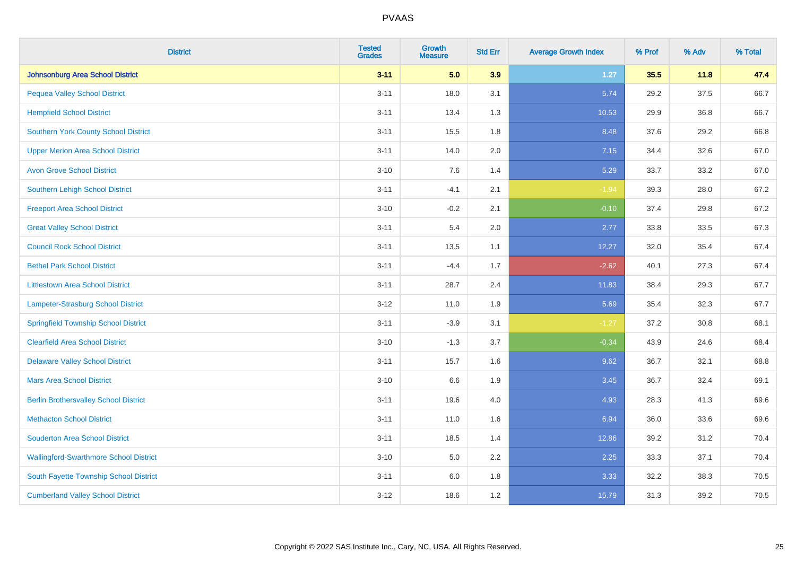| <b>District</b>                               | <b>Tested</b><br><b>Grades</b> | <b>Growth</b><br><b>Measure</b> | <b>Std Err</b> | <b>Average Growth Index</b> | % Prof | % Adv | % Total |
|-----------------------------------------------|--------------------------------|---------------------------------|----------------|-----------------------------|--------|-------|---------|
| <b>Johnsonburg Area School District</b>       | $3 - 11$                       | 5.0                             | 3.9            | $1.27$                      | 35.5   | 11.8  | 47.4    |
| <b>Pequea Valley School District</b>          | $3 - 11$                       | 18.0                            | 3.1            | 5.74                        | 29.2   | 37.5  | 66.7    |
| <b>Hempfield School District</b>              | $3 - 11$                       | 13.4                            | 1.3            | 10.53                       | 29.9   | 36.8  | 66.7    |
| Southern York County School District          | $3 - 11$                       | 15.5                            | 1.8            | 8.48                        | 37.6   | 29.2  | 66.8    |
| <b>Upper Merion Area School District</b>      | $3 - 11$                       | 14.0                            | 2.0            | 7.15                        | 34.4   | 32.6  | 67.0    |
| <b>Avon Grove School District</b>             | $3 - 10$                       | 7.6                             | 1.4            | 5.29                        | 33.7   | 33.2  | 67.0    |
| Southern Lehigh School District               | $3 - 11$                       | $-4.1$                          | 2.1            | $-1.94$                     | 39.3   | 28.0  | 67.2    |
| <b>Freeport Area School District</b>          | $3 - 10$                       | $-0.2$                          | 2.1            | $-0.10$                     | 37.4   | 29.8  | 67.2    |
| <b>Great Valley School District</b>           | $3 - 11$                       | 5.4                             | 2.0            | 2.77                        | 33.8   | 33.5  | 67.3    |
| <b>Council Rock School District</b>           | $3 - 11$                       | 13.5                            | 1.1            | 12.27                       | 32.0   | 35.4  | 67.4    |
| <b>Bethel Park School District</b>            | $3 - 11$                       | $-4.4$                          | 1.7            | $-2.62$                     | 40.1   | 27.3  | 67.4    |
| <b>Littlestown Area School District</b>       | $3 - 11$                       | 28.7                            | 2.4            | 11.83                       | 38.4   | 29.3  | 67.7    |
| Lampeter-Strasburg School District            | $3 - 12$                       | 11.0                            | 1.9            | 5.69                        | 35.4   | 32.3  | 67.7    |
| <b>Springfield Township School District</b>   | $3 - 11$                       | $-3.9$                          | 3.1            | $-1.27$                     | 37.2   | 30.8  | 68.1    |
| <b>Clearfield Area School District</b>        | $3 - 10$                       | $-1.3$                          | 3.7            | $-0.34$                     | 43.9   | 24.6  | 68.4    |
| <b>Delaware Valley School District</b>        | $3 - 11$                       | 15.7                            | 1.6            | 9.62                        | 36.7   | 32.1  | 68.8    |
| <b>Mars Area School District</b>              | $3 - 10$                       | 6.6                             | 1.9            | 3.45                        | 36.7   | 32.4  | 69.1    |
| <b>Berlin Brothersvalley School District</b>  | $3 - 11$                       | 19.6                            | 4.0            | 4.93                        | 28.3   | 41.3  | 69.6    |
| <b>Methacton School District</b>              | $3 - 11$                       | 11.0                            | 1.6            | 6.94                        | 36.0   | 33.6  | 69.6    |
| <b>Souderton Area School District</b>         | $3 - 11$                       | 18.5                            | 1.4            | 12.86                       | 39.2   | 31.2  | 70.4    |
| <b>Wallingford-Swarthmore School District</b> | $3 - 10$                       | 5.0                             | 2.2            | 2.25                        | 33.3   | 37.1  | 70.4    |
| South Fayette Township School District        | $3 - 11$                       | 6.0                             | 1.8            | 3.33                        | 32.2   | 38.3  | 70.5    |
| <b>Cumberland Valley School District</b>      | $3-12$                         | 18.6                            | 1.2            | 15.79                       | 31.3   | 39.2  | 70.5    |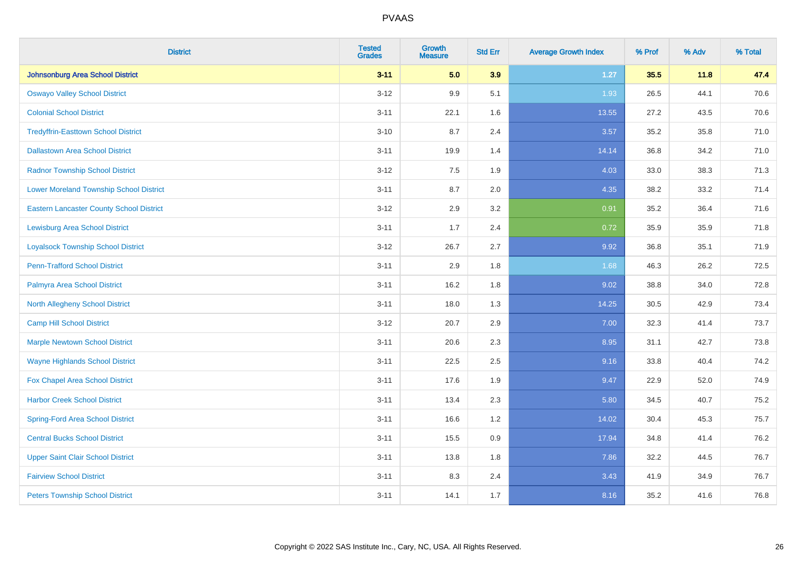| <b>District</b>                                 | <b>Tested</b><br><b>Grades</b> | <b>Growth</b><br><b>Measure</b> | <b>Std Err</b> | <b>Average Growth Index</b> | % Prof | % Adv | % Total |
|-------------------------------------------------|--------------------------------|---------------------------------|----------------|-----------------------------|--------|-------|---------|
| Johnsonburg Area School District                | $3 - 11$                       | 5.0                             | 3.9            | $1.27$                      | 35.5   | 11.8  | 47.4    |
| <b>Oswayo Valley School District</b>            | $3 - 12$                       | 9.9                             | 5.1            | 1.93                        | 26.5   | 44.1  | 70.6    |
| <b>Colonial School District</b>                 | $3 - 11$                       | 22.1                            | 1.6            | 13.55                       | 27.2   | 43.5  | 70.6    |
| <b>Tredyffrin-Easttown School District</b>      | $3 - 10$                       | 8.7                             | 2.4            | 3.57                        | 35.2   | 35.8  | 71.0    |
| <b>Dallastown Area School District</b>          | $3 - 11$                       | 19.9                            | 1.4            | 14.14                       | 36.8   | 34.2  | 71.0    |
| <b>Radnor Township School District</b>          | $3-12$                         | 7.5                             | 1.9            | 4.03                        | 33.0   | 38.3  | 71.3    |
| <b>Lower Moreland Township School District</b>  | $3 - 11$                       | 8.7                             | 2.0            | 4.35                        | 38.2   | 33.2  | 71.4    |
| <b>Eastern Lancaster County School District</b> | $3 - 12$                       | 2.9                             | 3.2            | 0.91                        | 35.2   | 36.4  | 71.6    |
| <b>Lewisburg Area School District</b>           | $3 - 11$                       | 1.7                             | 2.4            | 0.72                        | 35.9   | 35.9  | 71.8    |
| <b>Loyalsock Township School District</b>       | $3 - 12$                       | 26.7                            | 2.7            | 9.92                        | 36.8   | 35.1  | 71.9    |
| <b>Penn-Trafford School District</b>            | $3 - 11$                       | 2.9                             | 1.8            | 1.68                        | 46.3   | 26.2  | 72.5    |
| Palmyra Area School District                    | $3 - 11$                       | 16.2                            | 1.8            | 9.02                        | 38.8   | 34.0  | 72.8    |
| North Allegheny School District                 | $3 - 11$                       | 18.0                            | 1.3            | 14.25                       | 30.5   | 42.9  | 73.4    |
| <b>Camp Hill School District</b>                | $3 - 12$                       | 20.7                            | 2.9            | 7.00                        | 32.3   | 41.4  | 73.7    |
| <b>Marple Newtown School District</b>           | $3 - 11$                       | 20.6                            | 2.3            | 8.95                        | 31.1   | 42.7  | 73.8    |
| <b>Wayne Highlands School District</b>          | $3 - 11$                       | 22.5                            | 2.5            | 9.16                        | 33.8   | 40.4  | 74.2    |
| Fox Chapel Area School District                 | $3 - 11$                       | 17.6                            | 1.9            | 9.47                        | 22.9   | 52.0  | 74.9    |
| <b>Harbor Creek School District</b>             | $3 - 11$                       | 13.4                            | 2.3            | 5.80                        | 34.5   | 40.7  | 75.2    |
| <b>Spring-Ford Area School District</b>         | $3 - 11$                       | 16.6                            | 1.2            | 14.02                       | 30.4   | 45.3  | 75.7    |
| <b>Central Bucks School District</b>            | $3 - 11$                       | 15.5                            | 0.9            | 17.94                       | 34.8   | 41.4  | 76.2    |
| <b>Upper Saint Clair School District</b>        | $3 - 11$                       | 13.8                            | 1.8            | 7.86                        | 32.2   | 44.5  | 76.7    |
| <b>Fairview School District</b>                 | $3 - 11$                       | 8.3                             | 2.4            | 3.43                        | 41.9   | 34.9  | 76.7    |
| <b>Peters Township School District</b>          | $3 - 11$                       | 14.1                            | 1.7            | 8.16                        | 35.2   | 41.6  | 76.8    |